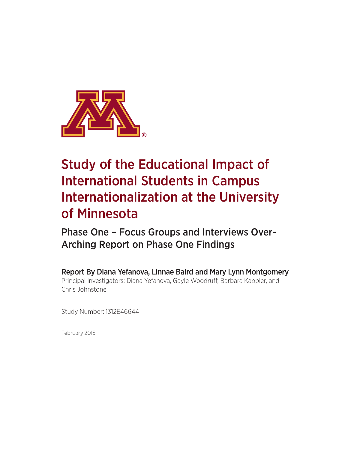

# Study of the Educational Impact of International Students in Campus Internationalization at the University of Minnesota

Phase One – Focus Groups and Interviews Over-Arching Report on Phase One Findings

Report By Diana Yefanova, Linnae Baird and Mary Lynn Montgomery Principal Investigators: Diana Yefanova, Gayle Woodruff, Barbara Kappler, and Chris Johnstone

Study Number: 1312E46644

February 2015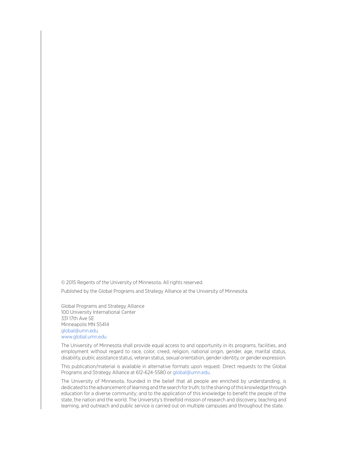© 2015 Regents of the University of Minnesota. All rights reserved.

Published by the Global Programs and Strategy Alliance at the University of Minnesota.

Global Programs and Strategy Alliance 100 University International Center 331 17th Ave SE Minneapolis MN 55414 global@umn.edu www.global.umn.edu

The University of Minnesota shall provide equal access to and opportunity in its programs, facilities, and employment without regard to race, color, creed, religion, national origin, gender, age, marital status, disability, public assistance status, veteran status, sexual orientation, gender identity, or gender expression.

This publication/material is available in alternative formats upon request. Direct requests to the Global Programs and Strategy Alliance at 612-624-5580 or global@umn.edu.

The University of Minnesota, founded in the belief that all people are enriched by understanding, is dedicated to the advancement of learning and the search for truth; to the sharing of this knowledge through education for a diverse community; and to the application of this knowledge to benefit the people of the state, the nation and the world. The University's threefold mission of research and discovery, teaching and learning, and outreach and public service is carried out on multiple campuses and throughout the state.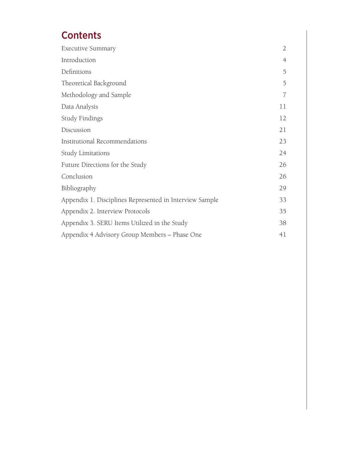# **Contents**

| <b>Executive Summary</b>                                | $\overline{2}$ |
|---------------------------------------------------------|----------------|
| Introduction                                            | 4              |
| Definitions                                             | 5              |
| Theoretical Background                                  | 5              |
| Methodology and Sample                                  | 7              |
| Data Analysis                                           | 11             |
| <b>Study Findings</b>                                   | 12             |
| Discussion                                              | 21             |
| Institutional Recommendations                           | 23             |
| Study Limitations                                       | 24             |
| Future Directions for the Study                         | 26             |
| Conclusion                                              | 26             |
| Bibliography                                            | 29             |
| Appendix 1. Disciplines Represented in Interview Sample | 33             |
| Appendix 2. Interview Protocols                         | 35             |
| Appendix 3. SERU Items Utilized in the Study            | 38             |
| Appendix 4 Advisory Group Members - Phase One           | 41             |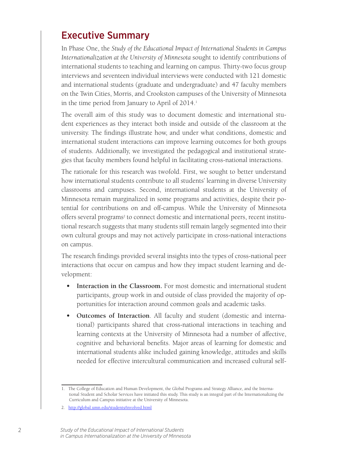### Executive Summary

In Phase One, the *Study of the Educational Impact of International Students in Campus Internationalization at the University of Minnesota* sought to identify contributions of international students to teaching and learning on campus. Thirty-two focus group interviews and seventeen individual interviews were conducted with 121 domestic and international students (graduate and undergraduate) and 47 faculty members on the Twin Cities, Morris, and Crookston campuses of the University of Minnesota in the time period from January to April of 2014.<sup>1</sup>

The overall aim of this study was to document domestic and international student experiences as they interact both inside and outside of the classroom at the university. The findings illustrate how, and under what conditions, domestic and international student interactions can improve learning outcomes for both groups of students. Additionally, we investigated the pedagogical and institutional strategies that faculty members found helpful in facilitating cross-national interactions.

The rationale for this research was twofold. First, we sought to better understand how international students contribute to all students' learning in diverse University classrooms and campuses. Second, international students at the University of Minnesota remain marginalized in some programs and activities, despite their potential for contributions on and off-campus. While the University of Minnesota offers several programs<sup>2</sup> to connect domestic and international peers, recent institutional research suggests that many students still remain largely segmented into their own cultural groups and may not actively participate in cross-national interactions on campus.

The research findings provided several insights into the types of cross-national peer interactions that occur on campus and how they impact student learning and development:

- **• Interaction in the Classroom.** For most domestic and international student participants, group work in and outside of class provided the majority of opportunities for interaction around common goals and academic tasks.
- **• Outcomes of Interaction**. All faculty and student (domestic and international) participants shared that cross-national interactions in teaching and learning contexts at the University of Minnesota had a number of affective, cognitive and behavioral benefits. Major areas of learning for domestic and international students alike included gaining knowledge, attitudes and skills needed for effective intercultural communication and increased cultural self-

<sup>1.</sup> The College of Education and Human Development, the Global Programs and Strategy Alliance, and the International Student and Scholar Services have initiated this study. This study is an integral part of the Internationalizing the Curriculum and Campus initiative at the University of Minnesota.

<sup>2.</sup> http://global.umn.edu/students/involved.html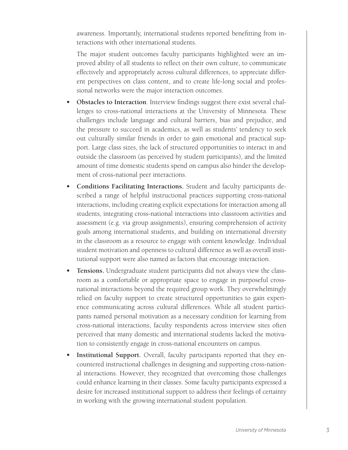awareness. Importantly, international students reported benefitting from interactions with other international students.

The major student outcomes faculty participants highlighted were an improved ability of all students to reflect on their own culture, to communicate effectively and appropriately across cultural differences, to appreciate different perspectives on class content, and to create life-long social and professional networks were the major interaction outcomes.

- **• Obstacles to Interaction**. Interview findings suggest there exist several challenges to cross-national interactions at the University of Minnesota. These challenges include language and cultural barriers, bias and prejudice, and the pressure to succeed in academics, as well as students' tendency to seek out culturally similar friends in order to gain emotional and practical support. Large class sizes, the lack of structured opportunities to interact in and outside the classroom (as perceived by student participants), and the limited amount of time domestic students spend on campus also hinder the development of cross-national peer interactions.
- **• Conditions Facilitating Interactions.** Student and faculty participants described a range of helpful instructional practices supporting cross-national interactions, including creating explicit expectations for interaction among all students, integrating cross-national interactions into classroom activities and assessment (e.g. via group assignments), ensuring comprehension of activity goals among international students, and building on international diversity in the classroom as a resource to engage with content knowledge. Individual student motivation and openness to cultural difference as well as overall institutional support were also named as factors that encourage interaction.
- **• Tensions.** Undergraduate student participants did not always view the classroom as a comfortable or appropriate space to engage in purposeful crossnational interactions beyond the required group work. They overwhelmingly relied on faculty support to create structured opportunities to gain experience communicating across cultural differences. While all student participants named personal motivation as a necessary condition for learning from cross-national interactions, faculty respondents across interview sites often perceived that many domestic and international students lacked the motivation to consistently engage in cross-national encounters on campus.
- **Institutional Support.** Overall, faculty participants reported that they encountered instructional challenges in designing and supporting cross-national interactions. However, they recognized that overcoming those challenges could enhance learning in their classes. Some faculty participants expressed a desire for increased institutional support to address their feelings of certainty in working with the growing international student population.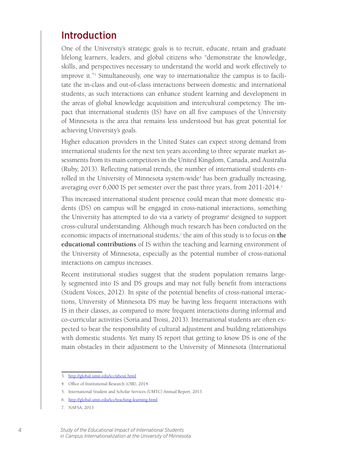### Introduction

One of the University's strategic goals is to recruit, educate, retain and graduate lifelong learners, leaders, and global citizens who "demonstrate the knowledge, skills, and perspectives necessary to understand the world and work effectively to improve it."3 Simultaneously, one way to internationalize the campus is to facilitate the in-class and out-of-class interactions between domestic and international students, as such interactions can enhance student learning and development in the areas of global knowledge acquisition and intercultural competency. The impact that international students (IS) have on all five campuses of the University of Minnesota is the area that remains less understood but has great potential for achieving University's goals.

Higher education providers in the United States can expect strong demand from international students for the next ten years according to three separate market assessments from its main competitors in the United Kingdom, Canada, and Australia (Ruby, 2013). Reflecting national trends, the number of international students enrolled in the University of Minnesota system-wide<sup>4</sup> has been gradually increasing, averaging over 6,000 IS per semester over the past three years, from 2011-2014.<sup>5</sup>

This increased international student presence could mean that more domestic students (DS) on campus will be engaged in cross-national interactions, something the University has attempted to do via a variety of programs<sup>6</sup> designed to support cross-cultural understanding. Although much research has been conducted on the economic impacts of international students,7 the aim of this study is to focus on **the educational contributions** of IS within the teaching and learning environment of the University of Minnesota, especially as the potential number of cross-national interactions on campus increases.

Recent institutional studies suggest that the student population remains largely segmented into IS and DS groups and may not fully benefit from interactions (Student Voices, 2012). In spite of the potential benefits of cross-national interactions, University of Minnesota DS may be having less frequent interactions with IS in their classes, as compared to more frequent interactions during informal and co-curricular activities (Soria and Troisi, 2013). International students are often expected to bear the responsibility of cultural adjustment and building relationships with domestic students. Yet many IS report that getting to know DS is one of the main obstacles in their adjustment to the University of Minnesota (International

<sup>3.</sup> http://global.umn.edu/icc/about.html

<sup>4.</sup> Office of Institutional Research (OIR), 2014

<sup>5.</sup> International Student and Scholar Services (UMTC) Annual Report, 2013

<sup>6.</sup> http://global.umn.edu/icc/teaching-learning.html

<sup>7.</sup> NAFSA, 2013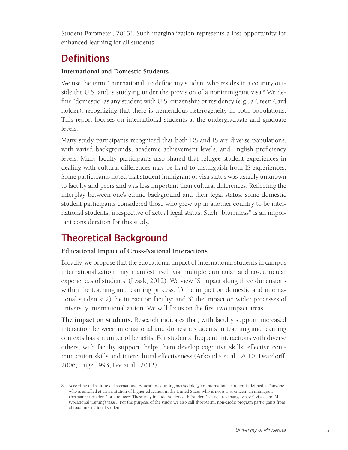Student Barometer, 2013). Such marginalization represents a lost opportunity for enhanced learning for all students.

### **Definitions**

#### **International and Domestic Students**

We use the term "international" to define any student who resides in a country outside the U.S. and is studying under the provision of a nonimmigrant visa.<sup>8</sup> We define "domestic" as any student with U.S. citizenship or residency (e.g., a Green Card holder), recognizing that there is tremendous heterogeneity in both populations. This report focuses on international students at the undergraduate and graduate levels.

Many study participants recognized that both DS and IS are diverse populations, with varied backgrounds, academic achievement levels, and English proficiency levels. Many faculty participants also shared that refugee student experiences in dealing with cultural differences may be hard to distinguish from IS experiences. Some participants noted that student immigrant or visa status was usually unknown to faculty and peers and was less important than cultural differences. Reflecting the interplay between one's ethnic background and their legal status, some domestic student participants considered those who grew up in another country to be international students, irrespective of actual legal status. Such "blurriness" is an important consideration for this study.

### Theoretical Background

#### **Educational Impact of Cross-National Interactions**

Broadly, we propose that the educational impact of international students in campus internationalization may manifest itself via multiple curricular and co-curricular experiences of students. (Leask, 2012). We view IS impact along three dimensions within the teaching and learning process: 1) the impact on domestic and international students; 2) the impact on faculty; and 3) the impact on wider processes of university internationalization. We will focus on the first two impact areas.

**The impact on students.** Research indicates that, with faculty support, increased interaction between international and domestic students in teaching and learning contexts has a number of benefits. For students, frequent interactions with diverse others, with faculty support, helps them develop cognitive skills, effective communication skills and intercultural effectiveness (Arkoudis et al., 2010; Deardorff, 2006; Paige 1993; Lee at al., 2012).

<sup>8.</sup> According to Institute of International Education counting methodology an international student is defined as "anyone who is enrolled at an institution of higher education in the United States who is not a U.S. citizen, an immigrant (permanent resident) or a refugee. These may include holders of F (student) visas, J (exchange visitor) visas, and M (vocational training) visas." For the purpose of the study, we also call short-term, non-credit program participants from abroad international students.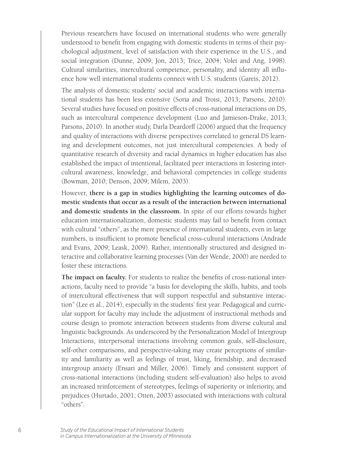Previous researchers have focused on international students who were generally understood to benefit from engaging with domestic students in terms of their psychological adjustment, level of satisfaction with their experience in the U.S., and social integration (Dunne, 2009; Jon, 2013; Trice, 2004; Volet and Ang, 1998). Cultural similarities, intercultural competence, personality, and identity all influence how well international students connect with U.S. students (Gareis, 2012).

The analysis of domestic students' social and academic interactions with international students has been less extensive (Soria and Troisi, 2013; Parsons, 2010). Several studies have focused on positive effects of cross-national interactions on DS, such as intercultural competence development (Luo and Jamieson-Drake, 2013; Parsons, 2010). In another study, Darla Deardorff (2006) argued that the frequency and quality of interactions with diverse perspectives correlated to general DS learning and development outcomes, not just intercultural competencies. A body of quantitative research of diversity and racial dynamics in higher education has also established the impact of intentional, facilitated peer interactions in fostering intercultural awareness, knowledge, and behavioral competencies in college students (Bowman, 2010; Denson, 2009; Milem, 2003).

However, **there is a gap in studies highlighting the learning outcomes of domestic students that occur as a result of the interaction between international and domestic students in the classroom.** In spite of our efforts towards higher education internationalization, domestic students may fail to benefit from contact with cultural "others", as the mere presence of international students, even in large numbers, is insufficient to promote beneficial cross-cultural interactions (Andrade and Evans, 2009; Leask, 2009). Rather, intentionally structured and designed interactive and collaborative learning processes (Van der Wende, 2000) are needed to foster these interactions.

**The impact on faculty.** For students to realize the benefits of cross-national interactions, faculty need to provide "a basis for developing the skills, habits, and tools of intercultural effectiveness that will support respectful and substantive interaction" (Lee et al., 2014), especially in the students' first year. Pedagogical and curricular support for faculty may include the adjustment of instructional methods and course design to promote interaction between students from diverse cultural and linguistic backgrounds. As underscored by the Personalization Model of Intergroup Interactions, interpersonal interactions involving common goals, self-disclosure, self-other comparisons, and perspective-taking may create perceptions of similarity and familiarity as well as feelings of trust, liking, friendship, and decreased intergroup anxiety (Ensari and Miller, 2006). Timely and consistent support of cross-national interactions (including student self-evaluation) also helps to avoid an increased reinforcement of stereotypes, feelings of superiority or inferiority, and prejudices (Hurtado, 2001; Otten, 2003) associated with interactions with cultural "others".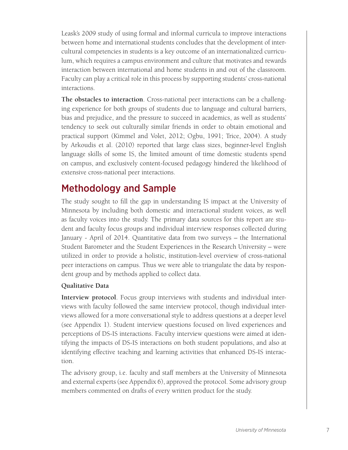Leask's 2009 study of using formal and informal curricula to improve interactions between home and international students concludes that the development of intercultural competencies in students is a key outcome of an internationalized curriculum, which requires a campus environment and culture that motivates and rewards interaction between international and home students in and out of the classroom. Faculty can play a critical role in this process by supporting students' cross-national interactions.

**The obstacles to interaction**. Cross-national peer interactions can be a challenging experience for both groups of students due to language and cultural barriers, bias and prejudice, and the pressure to succeed in academics, as well as students' tendency to seek out culturally similar friends in order to obtain emotional and practical support (Kimmel and Volet, 2012; Ogbu, 1991; Trice, 2004). A study by Arkoudis et al. (2010) reported that large class sizes, beginner-level English language skills of some IS, the limited amount of time domestic students spend on campus, and exclusively content-focused pedagogy hindered the likelihood of extensive cross-national peer interactions.

### Methodology and Sample

The study sought to fill the gap in understanding IS impact at the University of Minnesota by including both domestic and interactional student voices, as well as faculty voices into the study. The primary data sources for this report are student and faculty focus groups and individual interview responses collected during January - April of 2014. Quantitative data from two surveys – the International Student Barometer and the Student Experiences in the Research University – were utilized in order to provide a holistic, institution-level overview of cross-national peer interactions on campus. Thus we were able to triangulate the data by respondent group and by methods applied to collect data.

#### **Qualitative Data**

**Interview protocol**. Focus group interviews with students and individual interviews with faculty followed the same interview protocol, though individual interviews allowed for a more conversational style to address questions at a deeper level (see Appendix 1). Student interview questions focused on lived experiences and perceptions of DS-IS interactions. Faculty interview questions were aimed at identifying the impacts of DS-IS interactions on both student populations, and also at identifying effective teaching and learning activities that enhanced DS-IS interaction.

The advisory group, i.e. faculty and staff members at the University of Minnesota and external experts (see Appendix 6), approved the protocol. Some advisory group members commented on drafts of every written product for the study.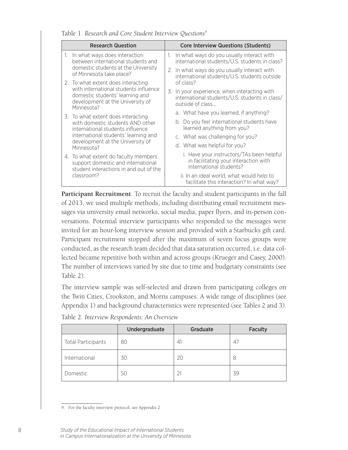| <b>Research Question</b> |                                                                                                                                                                  | <b>Core Interview Questions (Students)</b> |                                                                                                                    |
|--------------------------|------------------------------------------------------------------------------------------------------------------------------------------------------------------|--------------------------------------------|--------------------------------------------------------------------------------------------------------------------|
| 1.                       | In what ways does interaction<br>between international students and                                                                                              |                                            | In what ways do you usually interact with<br>international students/U.S. students in class?                        |
|                          | domestic students at the University<br>of Minnesota take place?                                                                                                  |                                            | 2. In what ways do you usually interact with<br>international students/U.S. students outside                       |
|                          | 2. To what extent does interacting<br>with international students influence<br>domestic students' learning and<br>development at the University of<br>Minnesota? |                                            | of class?                                                                                                          |
|                          |                                                                                                                                                                  |                                            | 3. In your experience, when interacting with<br>international students/U.S. students in class/<br>outside of class |
|                          | 3. To what extent does interacting                                                                                                                               |                                            | a. What have you learned, if anything?                                                                             |
|                          | with domestic students AND other<br>international students influence<br>international students' learning and                                                     |                                            | b. Do you feel international students have<br>learned anything from you?                                           |
|                          |                                                                                                                                                                  |                                            | c. What was challenging for you?                                                                                   |
|                          | development at the University of<br>Minnesota?                                                                                                                   |                                            | d. What was helpful for you?                                                                                       |
|                          | 4. To what extent do faculty members<br>support domestic and international<br>student interactions in and out of the                                             |                                            | i. Have your instructors/TAs been helpful<br>in facilitating your interaction with<br>international students?      |
|                          | classroom?                                                                                                                                                       |                                            | ii. In an ideal world, what would help to<br>facilitate this interaction? In what way?                             |

Table 1. *Research and Core Student Interview Questions9*

**Participant Recruitment**. To recruit the faculty and student participants in the fall of 2013, we used multiple methods, including distributing email recruitment messages via university email networks, social media, paper flyers, and in-person conversations. Potential interview participants who responded to the messages were invited for an hour-long interview session and provided with a Starbucks gift card. Participant recruitment stopped after the maximum of seven focus groups were conducted, as the research team decided that data saturation occurred, i.e. data collected became repetitive both within and across groups (Krueger and Casey, 2000). The number of interviews varied by site due to time and budgetary constraints (see Table 2).

The interview sample was self-selected and drawn from participating colleges on the Twin Cities, Crookston, and Morris campuses. A wide range of disciplines (see Appendix 1) and background characteristics were represented (see Tables 2 and 3).

|                           | Undergraduate | Graduate | <b>Faculty</b> |
|---------------------------|---------------|----------|----------------|
| <b>Total Participants</b> | 80            | 41       | 47             |
| International             | 30            | 20       | 8              |
| Domestic                  | 50            | 21       | 39             |

Table 2. *Interview Respondents: An Overview* 

<sup>9.</sup> For the faculty interview protocol, see Appendix 2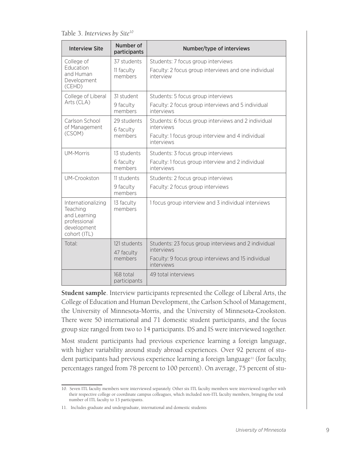Table 3. *Interviews by Site10*

| <b>Interview Site</b>                                                                         | Number of<br>participants | Number/type of interviews                                         |
|-----------------------------------------------------------------------------------------------|---------------------------|-------------------------------------------------------------------|
| College of                                                                                    | 37 students               | Students: 7 focus group interviews                                |
| Education<br>and Human<br>Development<br>(CEHD)                                               | 11 faculty<br>members     | Faculty: 2 focus group interviews and one individual<br>interview |
| College of Liberal                                                                            | 31 student                | Students: 5 focus group interviews                                |
| Arts (CLA)                                                                                    | 9 faculty<br>members      | Faculty: 2 focus group interviews and 5 individual<br>interviews  |
| Carlson School<br>of Management                                                               | 29 students<br>6 faculty  | Students: 6 focus group interviews and 2 individual<br>interviews |
| (CSOM)<br>members                                                                             |                           | Faculty: 1 focus group interview and 4 individual<br>interviews   |
| <b>UM-Morris</b>                                                                              | 13 students               | Students: 3 focus group interviews                                |
|                                                                                               | 6 faculty<br>members      | Faculty: 1 focus group interview and 2 individual<br>interviews   |
| UM-Crookston                                                                                  | 11 students               | Students: 2 focus group interviews                                |
|                                                                                               | 9 faculty<br>members      | Faculty: 2 focus group interviews                                 |
| Internationalizing<br>Teaching<br>and Learning<br>professional<br>development<br>cohort (ITL) | 13 faculty<br>members     | 1 focus group interview and 3 individual interviews               |
| Total:                                                                                        | 121 students              | Students: 23 focus group interviews and 2 individual              |
|                                                                                               | 47 faculty                | interviews                                                        |
|                                                                                               | members                   | Faculty: 9 focus group interviews and 15 individual<br>interviews |
|                                                                                               | 168 total<br>participants | 49 total interviews                                               |

**Student sample**. Interview participants represented the College of Liberal Arts, the College of Education and Human Development, the Carlson School of Management, the University of Minnesota-Morris, and the University of Minnesota-Crookston. There were 50 international and 71 domestic student participants, and the focus group size ranged from two to 14 participants. DS and IS were interviewed together.

Most student participants had previous experience learning a foreign language, with higher variability around study abroad experiences. Over 92 percent of student participants had previous experience learning a foreign language<sup>11</sup> (for faculty, percentages ranged from 78 percent to 100 percent). On average, 75 percent of stu-

<sup>10.</sup> Seven ITL faculty members were interviewed separately. Other six ITL faculty members were interviewed together with their respective college or coordinate campus colleagues, which included non-ITL faculty members, bringing the total number of ITL faculty to 13 participants.

<sup>11.</sup> Includes graduate and undergraduate, international and domestic students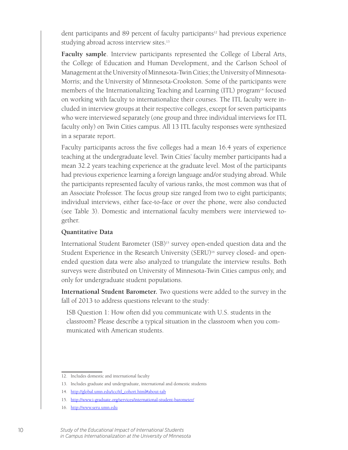dent participants and 89 percent of faculty participants<sup>12</sup> had previous experience studying abroad across interview sites.<sup>13</sup>

**Faculty sample**. Interview participants represented the College of Liberal Arts, the College of Education and Human Development, and the Carlson School of Management at the University of Minnesota-Twin Cities; the University of Minnesota-Morris; and the University of Minnesota-Crookston. Some of the participants were members of the Internationalizing Teaching and Learning (ITL) program<sup>14</sup> focused on working with faculty to internationalize their courses. The ITL faculty were included in interview groups at their respective colleges, except for seven participants who were interviewed separately (one group and three individual interviews for ITL faculty only) on Twin Cities campus. All 13 ITL faculty responses were synthesized in a separate report.

Faculty participants across the five colleges had a mean 16.4 years of experience teaching at the undergraduate level. Twin Cities' faculty member participants had a mean 32.2 years teaching experience at the graduate level. Most of the participants had previous experience learning a foreign language and/or studying abroad. While the participants represented faculty of various ranks, the most common was that of an Associate Professor. The focus group size ranged from two to eight participants; individual interviews, either face-to-face or over the phone, were also conducted (see Table 3). Domestic and international faculty members were interviewed together.

#### **Quantitative Data**

International Student Barometer (ISB)<sup>15</sup> survey open-ended question data and the Student Experience in the Research University (SERU)<sup>16</sup> survey closed- and openended question data were also analyzed to triangulate the interview results. Both surveys were distributed on University of Minnesota-Twin Cities campus only, and only for undergraduate student populations.

**International Student Barometer.** Two questions were added to the survey in the fall of 2013 to address questions relevant to the study:

ISB Question 1: How often did you communicate with U.S. students in the classroom? Please describe a typical situation in the classroom when you communicated with American students.

<sup>12.</sup> Includes domestic and international faculty

<sup>13.</sup> Includes graduate and undergraduate, international and domestic students

<sup>14.</sup> http://global.umn.edu/icc/itl\_cohort.html#about-tab

<sup>15.</sup> http://www.i-graduate.org/services/international-student-barometer/

<sup>16.</sup> http://www.seru.umn.edu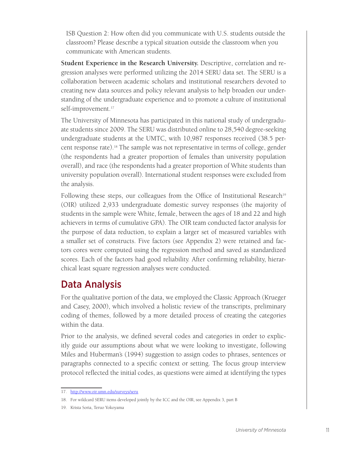ISB Question 2: How often did you communicate with U.S. students outside the classroom? Please describe a typical situation outside the classroom when you communicate with American students.

**Student Experience in the Research University.** Descriptive, correlation and regression analyses were performed utilizing the 2014 SERU data set. The SERU is a collaboration between academic scholars and institutional researchers devoted to creating new data sources and policy relevant analysis to help broaden our understanding of the undergraduate experience and to promote a culture of institutional self-improvement.<sup>17</sup>

The University of Minnesota has participated in this national study of undergraduate students since 2009. The SERU was distributed online to 28,540 degree-seeking undergraduate students at the UMTC, with 10,987 responses received (38.5 percent response rate).18 The sample was not representative in terms of college, gender (the respondents had a greater proportion of females than university population overall), and race (the respondents had a greater proportion of White students than university population overall). International student responses were excluded from the analysis.

Following these steps, our colleagues from the Office of Institutional Research<sup>19</sup> (OIR) utilized 2,933 undergraduate domestic survey responses (the majority of students in the sample were White, female, between the ages of 18 and 22 and high achievers in terms of cumulative GPA). The OIR team conducted factor analysis for the purpose of data reduction, to explain a larger set of measured variables with a smaller set of constructs. Five factors (see Appendix 2) were retained and factors cores were computed using the regression method and saved as standardized scores. Each of the factors had good reliability. After confirming reliability, hierarchical least square regression analyses were conducted.

### Data Analysis

For the qualitative portion of the data, we employed the Classic Approach (Krueger and Casey, 2000), which involved a holistic review of the transcripts, preliminary coding of themes, followed by a more detailed process of creating the categories within the data.

Prior to the analysis, we defined several codes and categories in order to explicitly guide our assumptions about what we were looking to investigate, following Miles and Huberman's (1994) suggestion to assign codes to phrases, sentences or paragraphs connected to a specific context or setting. The focus group interview protocol reflected the initial codes, as questions were aimed at identifying the types

<sup>17.</sup> http://www.oir.umn.edu/surveys/seru

<sup>18.</sup> For wildcard SERU items developed jointly by the ICC and the OIR, see Appendix 3, part B

<sup>19.</sup> Krista Soria, Teruo Yokoyama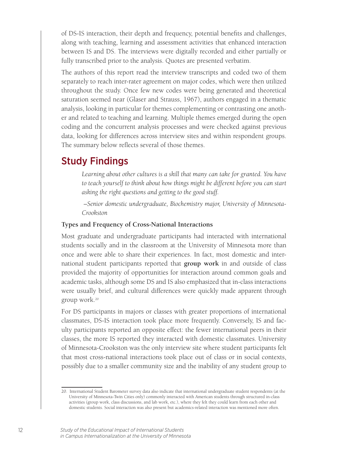of DS-IS interaction, their depth and frequency, potential benefits and challenges, along with teaching, learning and assessment activities that enhanced interaction between IS and DS. The interviews were digitally recorded and either partially or fully transcribed prior to the analysis. Quotes are presented verbatim.

The authors of this report read the interview transcripts and coded two of them separately to reach inter-rater agreement on major codes, which were then utilized throughout the study. Once few new codes were being generated and theoretical saturation seemed near (Glaser and Strauss, 1967), authors engaged in a thematic analysis, looking in particular for themes complementing or contrasting one another and related to teaching and learning. Multiple themes emerged during the open coding and the concurrent analysis processes and were checked against previous data, looking for differences across interview sites and within respondent groups. The summary below reflects several of those themes.

### Study Findings

Learning about other cultures is a skill that many can take for granted. You have to teach yourself to think about how things might be different before you can start *asking the right questions and getting to the good stuff.*

 *–Senior domestic undergraduate, Biochemistry major, University of Minnesota-Crookston*

#### **Types and Frequency of Cross-National Interactions**

Most graduate and undergraduate participants had interacted with international students socially and in the classroom at the University of Minnesota more than once and were able to share their experiences. In fact, most domestic and international student participants reported that **group work** in and outside of class provided the majority of opportunities for interaction around common goals and academic tasks, although some DS and IS also emphasized that in-class interactions were usually brief, and cultural differences were quickly made apparent through group work.20

For DS participants in majors or classes with greater proportions of international classmates, DS-IS interaction took place more frequently. Conversely, IS and faculty participants reported an opposite effect: the fewer international peers in their classes, the more IS reported they interacted with domestic classmates. University of Minnesota-Crookston was the only interview site where student participants felt that most cross-national interactions took place out of class or in social contexts, possibly due to a smaller community size and the inability of any student group to

<sup>20.</sup> International Student Barometer survey data also indicate that international undergraduate student respondents (at the University of Minnesota-Twin Cities only) commonly interacted with American students through structured in-class activities (group work, class discussions, and lab work, etc.), where they felt they could learn from each other and domestic students. Social interaction was also present but academics-related interaction was mentioned more often.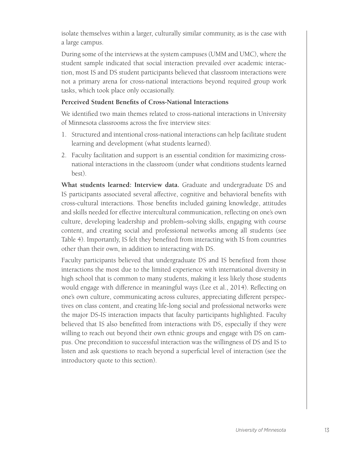isolate themselves within a larger, culturally similar community, as is the case with a large campus.

During some of the interviews at the system campuses (UMM and UMC), where the student sample indicated that social interaction prevailed over academic interaction, most IS and DS student participants believed that classroom interactions were not a primary arena for cross-national interactions beyond required group work tasks, which took place only occasionally.

#### **Perceived Student Benefits of Cross-National Interactions**

We identified two main themes related to cross-national interactions in University of Minnesota classrooms across the five interview sites:

- 1. Structured and intentional cross-national interactions can help facilitate student learning and development (what students learned).
- 2. Faculty facilitation and support is an essential condition for maximizing crossnational interactions in the classroom (under what conditions students learned best).

**What students learned: Interview data.** Graduate and undergraduate DS and IS participants associated several affective, cognitive and behavioral benefits with cross-cultural interactions. Those benefits included gaining knowledge, attitudes and skills needed for effective intercultural communication, reflecting on one's own culture, developing leadership and problem–solving skills, engaging with course content, and creating social and professional networks among all students (see Table 4). Importantly, IS felt they benefited from interacting with IS from countries other than their own, in addition to interacting with DS.

Faculty participants believed that undergraduate DS and IS benefited from those interactions the most due to the limited experience with international diversity in high school that is common to many students, making it less likely those students would engage with difference in meaningful ways (Lee et al., 2014). Reflecting on one's own culture, communicating across cultures, appreciating different perspectives on class content, and creating life-long social and professional networks were the major DS-IS interaction impacts that faculty participants highlighted. Faculty believed that IS also benefitted from interactions with DS, especially if they were willing to reach out beyond their own ethnic groups and engage with DS on campus. One precondition to successful interaction was the willingness of DS and IS to listen and ask questions to reach beyond a superficial level of interaction (see the introductory quote to this section).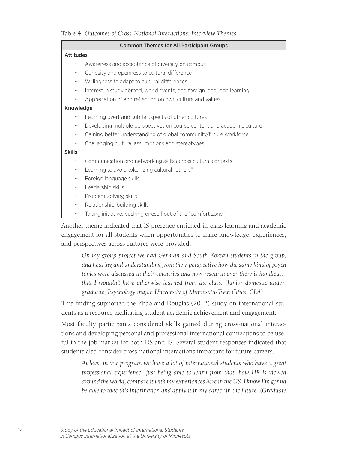#### Table 4. *Outcomes of Cross-National Interactions: Interview Themes*

#### Common Themes for All Participant Groups

#### Attitudes

- Awareness and acceptance of diversity on campus
- Curiosity and openness to cultural difference
- Willingness to adapt to cultural differences
- Interest in study abroad, world events, and foreign language learning
- Appreciation of and reflection on own culture and values

#### Knowledge

- Learning overt and subtle aspects of other cultures
- Developing multiple perspectives on course content and academic culture
- Gaining better understanding of global community/future workforce
- Challenging cultural assumptions and stereotypes

#### Skills

- Communication and networking skills across cultural contexts
- Learning to avoid tokenizing cultural "others"
- Foreign language skills
- Leadership skills
- Problem-solving skills
- Relationship-building skills
- Taking initiative, pushing oneself out of the "comfort zone"

Another theme indicated that IS presence enriched in-class learning and academic engagement for all students when opportunities to share knowledge, experiences, and perspectives across cultures were provided.

*On my group project we had German and South Korean students in the group, and hearing and understanding from their perspective how the same kind of psych topics were discussed in their countries and how research over there is handled… that I wouldn't have otherwise learned from the class. (Junior domestic undergraduate, Psychology major, University of Minnesota-Twin Cities, CLA)*

This finding supported the Zhao and Douglas (2012) study on international students as a resource facilitating student academic achievement and engagement.

Most faculty participants considered skills gained during cross-national interactions and developing personal and professional international connections to be useful in the job market for both DS and IS. Several student responses indicated that students also consider cross-national interactions important for future careers.

*At least in our program we have a lot of international students who have a great professional experience...just being able to learn from that, how HR is viewed around the world, compare it with my experiences here in the US. I know I'm gonna be able to take this information and apply it in my career in the future. (Graduate*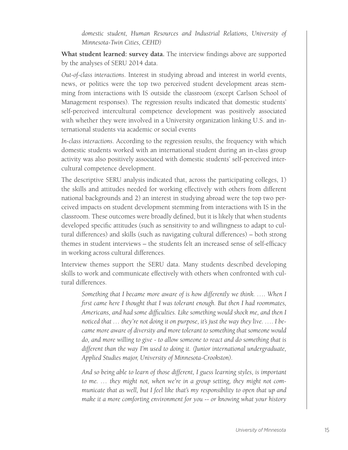*domestic student, Human Resources and Industrial Relations, University of Minnesota-Twin Cities, CEHD)*

**What student learned: survey data.** The interview findings above are supported by the analyses of SERU 2014 data.

*Out-of-class interactions*. Interest in studying abroad and interest in world events, news, or politics were the top two perceived student development areas stemming from interactions with IS outside the classroom (except Carlson School of Management responses). The regression results indicated that domestic students' self-perceived intercultural competence development was positively associated with whether they were involved in a University organization linking U.S. and international students via academic or social events

*In-class interactions*. According to the regression results, the frequency with which domestic students worked with an international student during an in-class group activity was also positively associated with domestic students' self-perceived intercultural competence development.

The descriptive SERU analysis indicated that, across the participating colleges, 1) the skills and attitudes needed for working effectively with others from different national backgrounds and 2) an interest in studying abroad were the top two perceived impacts on student development stemming from interactions with IS in the classroom. These outcomes were broadly defined, but it is likely that when students developed specific attitudes (such as sensitivity to and willingness to adapt to cultural differences) and skills (such as navigating cultural differences) – both strong themes in student interviews – the students felt an increased sense of self-efficacy in working across cultural differences.

Interview themes support the SERU data. Many students described developing skills to work and communicate effectively with others when confronted with cultural differences.

*Something that I became more aware of is how differently we think. .... When I first came here I thought that I was tolerant enough. But then I had roommates, Americans, and had some difficulties. Like something would shock me, and then I noticed that … they're not doing it on purpose, it's just the way they live. …. I became more aware of diversity and more tolerant to something that someone would do, and more willing to give - to allow someone to react and do something that is different than the way I'm used to doing it. (Junior international undergraduate, Applied Studies major, University of Minnesota-Crookston).*

*And so being able to learn of those different, I guess learning styles, is important to me. … they might not, when we're in a group setting, they might not communicate that as well, but I feel like that's my responsibility to open that up and make it a more comforting environment for you -- or knowing what your history*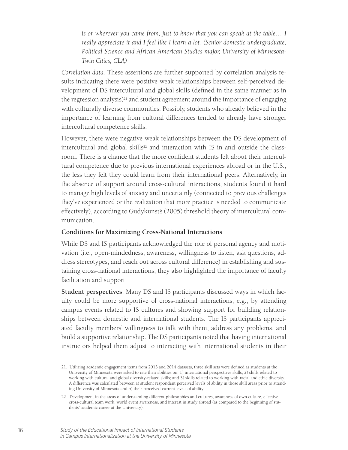*is or wherever you came from, just to know that you can speak at the table… I really appreciate it and I feel like I learn a lot. (Senior domestic undergraduate, Political Science and African American Studies major, University of Minnesota-Twin Cities, CLA)*

*Correlation data.* These assertions are further supported by correlation analysis results indicating there were positive weak relationships between self-perceived development of DS intercultural and global skills (defined in the same manner as in the regression analysis) $21$  and student agreement around the importance of engaging with culturally diverse communities. Possibly, students who already believed in the importance of learning from cultural differences tended to already have stronger intercultural competence skills.

However, there were negative weak relationships between the DS development of intercultural and global skills<sup>22</sup> and interaction with IS in and outside the classroom. There is a chance that the more confident students felt about their intercultural competence due to previous international experiences abroad or in the U.S., the less they felt they could learn from their international peers. Alternatively, in the absence of support around cross-cultural interactions, students found it hard to manage high levels of anxiety and uncertainly (connected to previous challenges they've experienced or the realization that more practice is needed to communicate effectively), according to Gudykunst's (2005) threshold theory of intercultural communication.

#### **Conditions for Maximizing Cross-National Interactions**

While DS and IS participants acknowledged the role of personal agency and motivation (i.e., open-mindedness, awareness, willingness to listen, ask questions, address stereotypes, and reach out across cultural difference) in establishing and sustaining cross-national interactions, they also highlighted the importance of faculty facilitation and support.

**Student perspectives**. Many DS and IS participants discussed ways in which faculty could be more supportive of cross-national interactions, e.g., by attending campus events related to IS cultures and showing support for building relationships between domestic and international students. The IS participants appreciated faculty members' willingness to talk with them, address any problems, and build a supportive relationship. The DS participants noted that having international instructors helped them adjust to interacting with international students in their

<sup>21.</sup> Utilizing academic engagement items from 2013 and 2014 datasets, three skill sets were defined as students at the University of Minnesota were asked to rate their abilities on: 1) international perspectives skills; 2) skills related to working with cultural and global diversity-related skills; and 3) skills related to working with racial and ethic diversity. A difference was calculated between a) student respondent perceived levels of ability in those skill areas prior to attending University of Minnesota and b) their perceived current levels of ability.

<sup>22.</sup> Development in the areas of understanding different philosophies and cultures, awareness of own culture, effective cross-cultural team work, world event awareness, and interest in study abroad (as compared to the beginning of students' academic career at the University).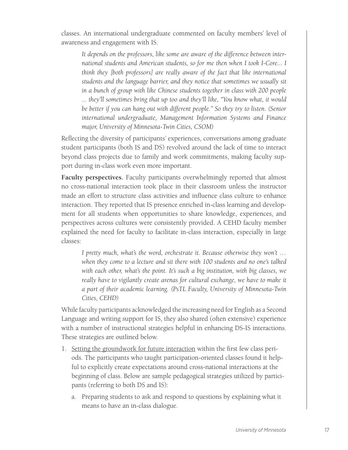classes. An international undergraduate commented on faculty members' level of awareness and engagement with IS.

*It depends on the professors, like some are aware of the difference between international students and American students, so for me then when I took I-Core... I think they [both professors] are really aware of the fact that like international students and the language barrier, and they notice that sometimes we usually sit in a bunch of group with like Chinese students together in class with 200 people ... they'll sometimes bring that up too and they'll like, "You know what, it would be better if you can hang out with different people." So they try to listen. (Senior international undergraduate, Management Information Systems and Finance major, University of Minnesota-Twin Cities, CSOM)*

Reflecting the diversity of participants' experiences, conversations among graduate student participants (both IS and DS) revolved around the lack of time to interact beyond class projects due to family and work commitments, making faculty support during in-class work even more important.

**Faculty perspectives.** Faculty participants overwhelmingly reported that almost no cross-national interaction took place in their classroom unless the instructor made an effort to structure class activities and influence class culture to enhance interaction. They reported that IS presence enriched in-class learning and development for all students when opportunities to share knowledge, experiences, and perspectives across cultures were consistently provided. A CEHD faculty member explained the need for faculty to facilitate in-class interaction, especially in large classes:

*I pretty much, what's the word, orchestrate it. Because otherwise they won't … when they come to a lecture and sit there with 100 students and no one's talked with each other, what's the point. It's such a big institution, with big classes, we*  really have to vigilantly create arenas for cultural exchange, we have to make it *a part of their academic learning. (PsTL Faculty, University of Minnesota-Twin Cities, CEHD)*

While faculty participants acknowledged the increasing need for English as a Second Language and writing support for IS, they also shared (often extensive) experience with a number of instructional strategies helpful in enhancing DS-IS interactions. These strategies are outlined below.

- 1. Setting the groundwork for future interaction within the first few class periods. The participants who taught participation-oriented classes found it helpful to explicitly create expectations around cross-national interactions at the beginning of class. Below are sample pedagogical strategies utilized by participants (referring to both DS and IS):
	- a. Preparing students to ask and respond to questions by explaining what it means to have an in-class dialogue.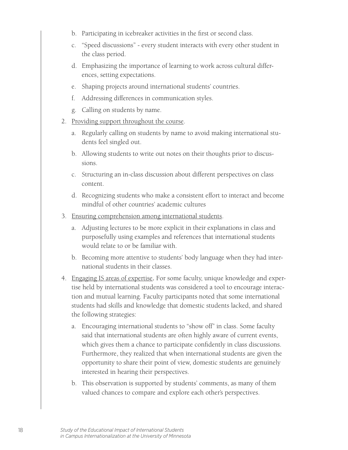- b. Participating in icebreaker activities in the first or second class.
- c. "Speed discussions" every student interacts with every other student in the class period.
- d. Emphasizing the importance of learning to work across cultural differences, setting expectations.
- e. Shaping projects around international students' countries.
- f. Addressing differences in communication styles.
- g. Calling on students by name.
- 2. Providing support throughout the course.
	- a. Regularly calling on students by name to avoid making international students feel singled out.
	- b. Allowing students to write out notes on their thoughts prior to discussions.
	- c. Structuring an in-class discussion about different perspectives on class content.
	- d. Recognizing students who make a consistent effort to interact and become mindful of other countries' academic cultures
- 3. Ensuring comprehension among international students.
	- a. Adjusting lectures to be more explicit in their explanations in class and purposefully using examples and references that international students would relate to or be familiar with.
	- b. Becoming more attentive to students' body language when they had international students in their classes.
- 4. Engaging IS areas of expertise**.** For some faculty, unique knowledge and expertise held by international students was considered a tool to encourage interaction and mutual learning. Faculty participants noted that some international students had skills and knowledge that domestic students lacked, and shared the following strategies:
	- a. Encouraging international students to "show off" in class. Some faculty said that international students are often highly aware of current events, which gives them a chance to participate confidently in class discussions. Furthermore, they realized that when international students are given the opportunity to share their point of view, domestic students are genuinely interested in hearing their perspectives.
	- b. This observation is supported by students' comments, as many of them valued chances to compare and explore each other's perspectives.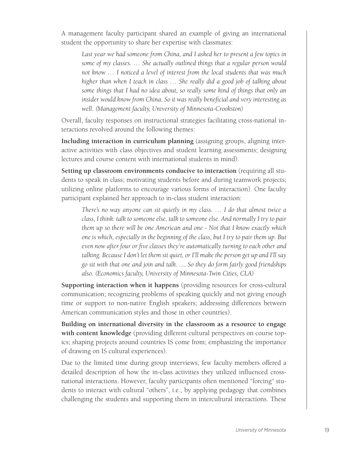A management faculty participant shared an example of giving an international student the opportunity to share her expertise with classmates:

Last year we had someone from China, and I asked her to present a few topics in *some of my classes. … She actually outlined things that a regular person would not know … I noticed a level of interest from the local students that was much higher than when I teach in class … She really did a good job of talking about some things that I had no idea about, so really some kind of things that only an insider would know from China. So it was really beneficial and very interesting as well. (Management faculty, University of Minnesota-Crookston)*

Overall, faculty responses on instructional strategies facilitating cross-national interactions revolved around the following themes:

**Including interaction in curriculum planning** (assigning groups, aligning interactive activities with class objectives and student learning assessments; designing lectures and course content with international students in mind).

**Setting up classroom environments conducive to interaction** (requiring all students to speak in class; motivating students before and during teamwork projects; utilizing online platforms to encourage various forms of interaction). One faculty participant explained her approach to in-class student interaction:

*There's no way anyone can sit quietly in my class. … I do that almost twice a class, I think: talk to someone else, talk to someone else. And normally I try to pair them up so there will be one American and one - Not that I know exactly which one is which, especially in the beginning of the class, but I try to pair them up. But even now after four or five classes they're automatically turning to each other and talking. Because I don't let them sit quiet, or I'll make the person get up and I'll say go sit with that one and join and talk. .... So they do form fairly good friendships also. (Economics faculty, University of Minnesota-Twin Cities, CLA)*

**Supporting interaction when it happens** (providing resources for cross-cultural communication; recognizing problems of speaking quickly and not giving enough time or support to non-native English speakers; addressing differences between American communication styles and those in other countries).

**Building on international diversity in the classroom as a resource to engage with content knowledge** (providing different cultural perspectives on course topics; shaping projects around countries IS come from; emphasizing the importance of drawing on IS cultural experiences).

Due to the limited time during group interviews, few faculty members offered a detailed description of how the in-class activities they utilized influenced crossnational interactions. However, faculty participants often mentioned "forcing" students to interact with cultural "others", i.e., by applying pedagogy that combines challenging the students and supporting them in intercultural interactions. These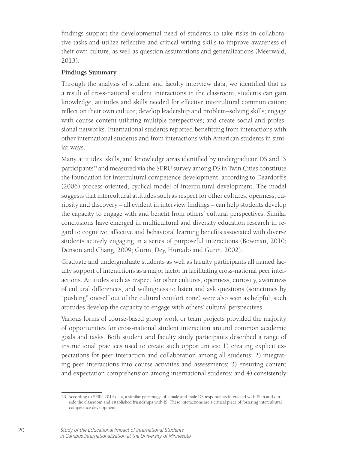findings support the developmental need of students to take risks in collaborative tasks and utilize reflective and critical writing skills to improve awareness of their own culture, as well as question assumptions and generalizations (Meerwald, 2013).

#### **Findings Summary**

Through the analysis of student and faculty interview data, we identified that as a result of cross-national student interactions in the classroom, students can gain knowledge, attitudes and skills needed for effective intercultural communication; reflect on their own culture; develop leadership and problem–solving skills; engage with course content utilizing multiple perspectives; and create social and professional networks. International students reported benefitting from interactions with other international students and from interactions with American students in similar ways.

Many attitudes, skills, and knowledge areas identified by undergraduate DS and IS participants<sup>23</sup> and measured via the SERU survey among DS in Twin Cities constitute the foundation for intercultural competence development, according to Deardorff's (2006) process-oriented, cyclical model of intercultural development. The model suggests that intercultural attitudes such as respect for other cultures, openness, curiosity and discovery – all evident in interview findings – can help students develop the capacity to engage with and benefit from others' cultural perspectives. Similar conclusions have emerged in multicultural and diversity education research in regard to cognitive, affective and behavioral learning benefits associated with diverse students actively engaging in a series of purposeful interactions (Bowman, 2010; Denson and Chang, 2009; Gurin, Dey, Hurtado and Gurin, 2002).

Graduate and undergraduate students as well as faculty participants all named faculty support of interactions as a major factor in facilitating cross-national peer interactions. Attitudes such as respect for other cultures, openness, curiosity, awareness of cultural differences, and willingness to listen and ask questions (sometimes by "pushing" oneself out of the cultural comfort zone) were also seen as helpful; such attitudes develop the capacity to engage with others' cultural perspectives.

Various forms of course-based group work or team projects provided the majority of opportunities for cross-national student interaction around common academic goals and tasks. Both student and faculty study participants described a range of instructional practices used to create such opportunities: 1) creating explicit expectations for peer interaction and collaboration among all students; 2) integrating peer interactions into course activities and assessments; 3) ensuring content and expectation comprehension among international students; and 4) consistently

<sup>23.</sup> According to SERU 2014 data, a similar percentage of female and male DS respondents interacted with IS in and outside the classroom and established friendships with IS. These interactions are a critical piece of fostering intercultural competence development.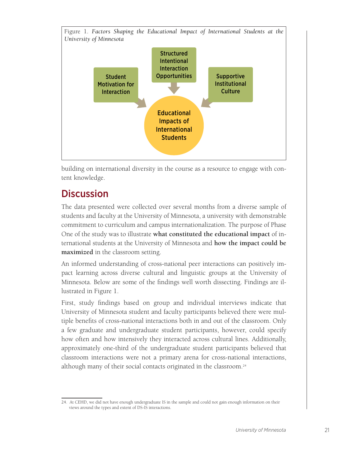

building on international diversity in the course as a resource to engage with content knowledge.

## **Discussion**

The data presented were collected over several months from a diverse sample of students and faculty at the University of Minnesota, a university with demonstrable commitment to curriculum and campus internationalization. The purpose of Phase One of the study was to illustrate **what constituted the educational impact** of international students at the University of Minnesota and **how the impact could be maximized** in the classroom setting.

An informed understanding of cross-national peer interactions can positively impact learning across diverse cultural and linguistic groups at the University of Minnesota. Below are some of the findings well worth dissecting. Findings are illustrated in Figure 1.

First, study findings based on group and individual interviews indicate that University of Minnesota student and faculty participants believed there were multiple benefits of cross-national interactions both in and out of the classroom. Only a few graduate and undergraduate student participants, however, could specify how often and how intensively they interacted across cultural lines. Additionally, approximately one-third of the undergraduate student participants believed that classroom interactions were not a primary arena for cross-national interactions, although many of their social contacts originated in the classroom.24

<sup>24.</sup> At CEHD, we did not have enough undergraduate IS in the sample and could not gain enough information on their views around the types and extent of DS-IS interactions.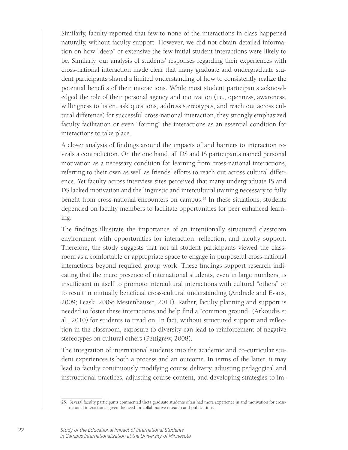Similarly, faculty reported that few to none of the interactions in class happened naturally, without faculty support. However, we did not obtain detailed information on how "deep" or extensive the few initial student interactions were likely to be. Similarly, our analysis of students' responses regarding their experiences with cross-national interaction made clear that many graduate and undergraduate student participants shared a limited understanding of how to consistently realize the potential benefits of their interactions. While most student participants acknowledged the role of their personal agency and motivation (i.e., openness, awareness, willingness to listen, ask questions, address stereotypes, and reach out across cultural difference) for successful cross-national interaction, they strongly emphasized faculty facilitation or even "forcing" the interactions as an essential condition for interactions to take place.

A closer analysis of findings around the impacts of and barriers to interaction reveals a contradiction. On the one hand, all DS and IS participants named personal motivation as a necessary condition for learning from cross-national interactions, referring to their own as well as friends' efforts to reach out across cultural difference. Yet faculty across interview sites perceived that many undergraduate IS and DS lacked motivation and the linguistic and intercultural training necessary to fully benefit from cross-national encounters on campus.<sup>25</sup> In these situations, students depended on faculty members to facilitate opportunities for peer enhanced learning.

The findings illustrate the importance of an intentionally structured classroom environment with opportunities for interaction, reflection, and faculty support. Therefore, the study suggests that not all student participants viewed the classroom as a comfortable or appropriate space to engage in purposeful cross-national interactions beyond required group work. These findings support research indicating that the mere presence of international students, even in large numbers, is insufficient in itself to promote intercultural interactions with cultural "others" or to result in mutually beneficial cross-cultural understanding (Andrade and Evans, 2009; Leask, 2009; Mestenhauser, 2011). Rather, faculty planning and support is needed to foster these interactions and help find a "common ground" (Arkoudis et al., 2010) for students to tread on. In fact, without structured support and reflection in the classroom, exposure to diversity can lead to reinforcement of negative stereotypes on cultural others (Pettigrew, 2008).

The integration of international students into the academic and co-curricular student experiences is both a process and an outcome. In terms of the latter, it may lead to faculty continuously modifying course delivery, adjusting pedagogical and instructional practices, adjusting course content, and developing strategies to im-

<sup>25.</sup> Several faculty participants commented theta graduate students often had more experience in and motivation for crossnational interactions, given the need for collaborative research and publications.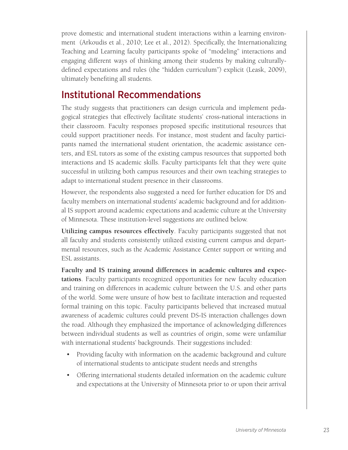prove domestic and international student interactions within a learning environment (Arkoudis et al., 2010; Lee et al., 2012). Specifically, the Internationalizing Teaching and Learning faculty participants spoke of "modeling" interactions and engaging different ways of thinking among their students by making culturallydefined expectations and rules (the "hidden curriculum") explicit (Leask, 2009), ultimately benefiting all students.

### Institutional Recommendations

The study suggests that practitioners can design curricula and implement pedagogical strategies that effectively facilitate students' cross-national interactions in their classroom. Faculty responses proposed specific institutional resources that could support practitioner needs. For instance, most student and faculty participants named the international student orientation, the academic assistance centers, and ESL tutors as some of the existing campus resources that supported both interactions and IS academic skills. Faculty participants felt that they were quite successful in utilizing both campus resources and their own teaching strategies to adapt to international student presence in their classrooms.

However, the respondents also suggested a need for further education for DS and faculty members on international students' academic background and for additional IS support around academic expectations and academic culture at the University of Minnesota. These institution-level suggestions are outlined below.

**Utilizing campus resources effectively**. Faculty participants suggested that not all faculty and students consistently utilized existing current campus and departmental resources, such as the Academic Assistance Center support or writing and ESL assistants.

**Faculty and IS training around differences in academic cultures and expectations**. Faculty participants recognized opportunities for new faculty education and training on differences in academic culture between the U.S. and other parts of the world. Some were unsure of how best to facilitate interaction and requested formal training on this topic. Faculty participants believed that increased mutual awareness of academic cultures could prevent DS-IS interaction challenges down the road. Although they emphasized the importance of acknowledging differences between individual students as well as countries of origin, some were unfamiliar with international students' backgrounds. Their suggestions included:

- Providing faculty with information on the academic background and culture of international students to anticipate student needs and strengths
- Offering international students detailed information on the academic culture and expectations at the University of Minnesota prior to or upon their arrival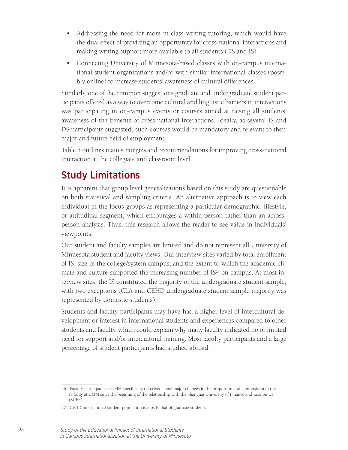- Addressing the need for more in-class writing tutoring, which would have the dual effect of providing an opportunity for cross-national interactions and making writing support more available to all students (DS and IS)
- Connecting University of Minnesota-based classes with on-campus international student organizations and/or with similar international classes (possibly online) to increase students' awareness of cultural differences

Similarly, one of the common suggestions graduate and undergraduate student participants offered as a way to overcome cultural and linguistic barriers in interactions was participating in on-campus events or courses aimed at raising all students' awareness of the benefits of cross-national interactions. Ideally, as several IS and DS participants suggested, such courses would be mandatory and relevant to their major and future field of employment.

Table 5 outlines main strategies and recommendations for improving cross-national interaction at the collegiate and classroom level.

## Study Limitations

It is apparent that group level generalizations based on this study are questionable on both statistical and sampling criteria. An alternative approach is to view each individual in the focus groups as representing a particular demographic, lifestyle, or attitudinal segment, which encourages a within-person rather than an acrossperson analysis. Thus, this research allows the reader to see value in individuals' viewpoints.

Our student and faculty samples are limited and do not represent all University of Minnesota student and faculty views. Our interview sites varied by total enrollment of IS, size of the college/system campus, and the extent to which the academic climate and culture supported the increasing number of IS<sup>26</sup> on campus. At most interview sites, the IS constituted the majority of the undergraduate student sample, with two exceptions (CLA and CEHD undergraduate student sample majority was represented by domestic students).27

Students and faculty participants may have had a higher level of intercultural development or interest in international students and experiences compared to other students and faculty, which could explain why many faculty indicated no or limited need for support and/or intercultural training. Most faculty participants and a large percentage of student participants had studied abroad.

<sup>26.</sup> Faculty participants at UMM specifically described some major changes in the proportion and composition of the IS body at UMM since the beginning of the relationship with the Shanghai University of Finance and Economics (SUFE).

<sup>27.</sup> CEHD international student population is mostly that of graduate students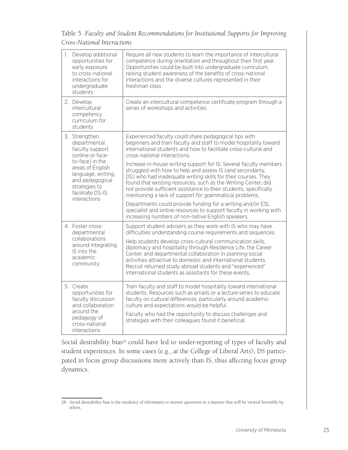Table 5. *Faculty and Student Recommendations for Institutional Supports for Improving* 

|                                                                                                                                                                                           | 1. Develop additional<br>opportunities for<br>early exposure<br>to cross-national<br>interactions for<br>undergraduate<br>students       | Require all new students to learn the importance of intercultural<br>competence during orientation and throughout their first year.<br>Opportunities could be built into undergraduate curriculum,<br>raising student awareness of the benefits of cross-national<br>interactions and the diverse cultures represented in their<br>freshman class.                                                                                                                                                            |
|-------------------------------------------------------------------------------------------------------------------------------------------------------------------------------------------|------------------------------------------------------------------------------------------------------------------------------------------|---------------------------------------------------------------------------------------------------------------------------------------------------------------------------------------------------------------------------------------------------------------------------------------------------------------------------------------------------------------------------------------------------------------------------------------------------------------------------------------------------------------|
|                                                                                                                                                                                           | 2. Develop<br>intercultural<br>competency<br>curriculum for<br>students                                                                  | Create an intercultural competence certificate program through a<br>series of workshops and activities.                                                                                                                                                                                                                                                                                                                                                                                                       |
| 3. Strengthen<br>departmental<br>faculty support<br>(online or face-<br>to-face) in the<br>areas of English<br>language, writing,<br>and pedagogical<br>strategies to<br>facilitate DS-IS |                                                                                                                                          | Experienced faculty could share pedagogical tips with<br>beginners and train faculty and staff to model hospitality toward<br>international students and how to facilitate cross-cultural and<br>cross-national interactions.                                                                                                                                                                                                                                                                                 |
|                                                                                                                                                                                           |                                                                                                                                          | Increase in-house writing support for IS: Several faculty members<br>struggled with how to help and assess IS (and secondarily,<br>DS) who had inadequate writing skills for their courses. They<br>found that existing resources, such as the Writing Center, did<br>not provide sufficient assistance to their students, specifically<br>mentioning a lack of support for grammatical problems.                                                                                                             |
|                                                                                                                                                                                           | interactions                                                                                                                             | Departments could provide funding for a writing and/or ESL<br>specialist and online resources to support faculty in working with<br>increasing numbers of non-native English speakers.                                                                                                                                                                                                                                                                                                                        |
|                                                                                                                                                                                           | 4. Foster cross-<br>departmental<br>collaborations<br>around integrating<br>IS into the<br>academic<br>community                         | Support student advisers as they work with IS who may have<br>difficulties understanding course requirements and sequences.<br>Help students develop cross-cultural communication skills,<br>diplomacy and hospitality through Residence Life, the Career<br>Center, and departmental collaboration in planning social<br>activities attractive to domestic and international students.<br>Recruit returned study abroad students and "experienced"<br>international students as assistants for these events. |
|                                                                                                                                                                                           | 5. Create<br>opportunities for<br>faculty discussion<br>and collaboration<br>around the<br>pedagogy of<br>cross-national<br>interactions | Train faculty and staff to model hospitality toward international<br>students. Resources such as emails or a lecture series to educate<br>faculty on cultural differences, particularly around academic<br>culture and expectations would be helpful.<br>Faculty who had the opportunity to discuss challenges and<br>strategies with their colleagues found it beneficial.                                                                                                                                   |

Social desirability bias<sup>28</sup> could have led to under-reporting of types of faculty and student experiences. In some cases (e.g., at the College of Liberal Arts), DS participated in focus group discussions more actively than IS, thus affecting focus group dynamics.

<sup>28.</sup> Social desirability bias is the tendency of informants to answer questions in a manner that will be viewed favorably by others.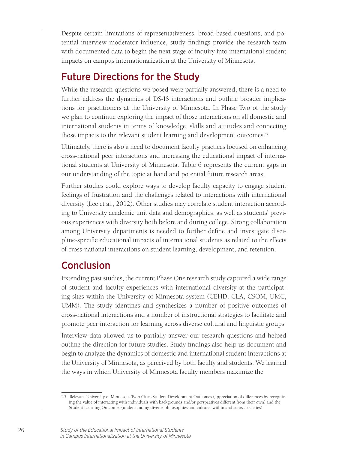Despite certain limitations of representativeness, broad-based questions, and potential interview moderator influence, study findings provide the research team with documented data to begin the next stage of inquiry into international student impacts on campus internationalization at the University of Minnesota.

### Future Directions for the Study

While the research questions we posed were partially answered, there is a need to further address the dynamics of DS-IS interactions and outline broader implications for practitioners at the University of Minnesota. In Phase Two of the study we plan to continue exploring the impact of those interactions on all domestic and international students in terms of knowledge, skills and attitudes and connecting those impacts to the relevant student learning and development outcomes.<sup>29</sup>

Ultimately, there is also a need to document faculty practices focused on enhancing cross-national peer interactions and increasing the educational impact of international students at University of Minnesota. Table 6 represents the current gaps in our understanding of the topic at hand and potential future research areas.

Further studies could explore ways to develop faculty capacity to engage student feelings of frustration and the challenges related to interactions with international diversity (Lee et al., 2012). Other studies may correlate student interaction according to University academic unit data and demographics, as well as students' previous experiences with diversity both before and during college. Strong collaboration among University departments is needed to further define and investigate discipline-specific educational impacts of international students as related to the effects of cross-national interactions on student learning, development, and retention.

### **Conclusion**

Extending past studies, the current Phase One research study captured a wide range of student and faculty experiences with international diversity at the participating sites within the University of Minnesota system (CEHD, CLA, CSOM, UMC, UMM). The study identifies and synthesizes a number of positive outcomes of cross-national interactions and a number of instructional strategies to facilitate and promote peer interaction for learning across diverse cultural and linguistic groups.

Interview data allowed us to partially answer our research questions and helped outline the direction for future studies. Study findings also help us document and begin to analyze the dynamics of domestic and international student interactions at the University of Minnesota, as perceived by both faculty and students. We learned the ways in which University of Minnesota faculty members maximize the

<sup>29.</sup> Relevant University of Minnesota-Twin Cities Student Development Outcomes (appreciation of differences by recognizing the value of interacting with individuals with backgrounds and/or perspectives different from their own) and the Student Learning Outcomes (understanding diverse philosophies and cultures within and across societies)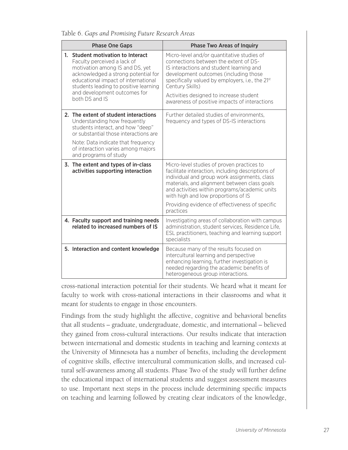Table 6. *Gaps and Promising Future Research Areas*

| <b>Phase One Gaps</b>                                                                                                                                                                                                                                                           | <b>Phase Two Areas of Inquiry</b>                                                                                                                                                                                                                                                                                                                       |
|---------------------------------------------------------------------------------------------------------------------------------------------------------------------------------------------------------------------------------------------------------------------------------|---------------------------------------------------------------------------------------------------------------------------------------------------------------------------------------------------------------------------------------------------------------------------------------------------------------------------------------------------------|
| 1. Student motivation to Interact<br>Faculty perceived a lack of<br>motivation among IS and DS, yet<br>acknowledged a strong potential for<br>educational impact of international<br>students leading to positive learning<br>and development outcomes for<br>both D.S and I.S. | Micro-level and/or quantitative studies of<br>connections between the extent of DS-<br>IS interactions and student learning and<br>development outcomes (including those<br>specifically valued by employers, i.e., the 21st<br>Century Skills)<br>Activities designed to increase student<br>awareness of positive impacts of interactions             |
| 2. The extent of student interactions<br>Understanding how frequently<br>students interact, and how "deep"<br>or substantial those interactions are<br>Note: Data indicate that frequency<br>of interaction varies among majors<br>and programs of study                        | Further detailed studies of environments,<br>frequency and types of DS-IS interactions                                                                                                                                                                                                                                                                  |
| 3. The extent and types of in-class<br>activities supporting interaction                                                                                                                                                                                                        | Micro-level studies of proven practices to<br>facilitate interaction, including descriptions of<br>individual and group work assignments, class<br>materials, and alignment between class goals<br>and activities within programs/academic units<br>with high and low proportions of IS<br>Providing evidence of effectiveness of specific<br>practices |
| 4. Faculty support and training needs<br>related to increased numbers of IS                                                                                                                                                                                                     | Investigating areas of collaboration with campus<br>administration, student services, Residence Life,<br>ESL practitioners, teaching and learning support<br>specialists                                                                                                                                                                                |
| 5. Interaction and content knowledge                                                                                                                                                                                                                                            | Because many of the results focused on<br>intercultural learning and perspective<br>enhancing learning, further investigation is<br>needed regarding the academic benefits of<br>heterogeneous group interactions.                                                                                                                                      |

cross-national interaction potential for their students. We heard what it meant for faculty to work with cross-national interactions in their classrooms and what it meant for students to engage in those encounters.

Findings from the study highlight the affective, cognitive and behavioral benefits that all students – graduate, undergraduate, domestic, and international – believed they gained from cross-cultural interactions. Our results indicate that interaction between international and domestic students in teaching and learning contexts at the University of Minnesota has a number of benefits, including the development of cognitive skills, effective intercultural communication skills, and increased cultural self-awareness among all students. Phase Two of the study will further define the educational impact of international students and suggest assessment measures to use. Important next steps in the process include determining specific impacts on teaching and learning followed by creating clear indicators of the knowledge,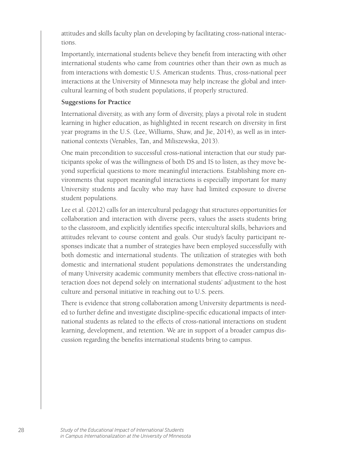attitudes and skills faculty plan on developing by facilitating cross-national interactions.

Importantly, international students believe they benefit from interacting with other international students who came from countries other than their own as much as from interactions with domestic U.S. American students. Thus, cross-national peer interactions at the University of Minnesota may help increase the global and intercultural learning of both student populations, if properly structured.

#### **Suggestions for Practice**

International diversity, as with any form of diversity, plays a pivotal role in student learning in higher education, as highlighted in recent research on diversity in first year programs in the U.S. (Lee, Williams, Shaw, and Jie, 2014), as well as in international contexts (Venables, Tan, and Miliszewska, 2013).

One main precondition to successful cross-national interaction that our study participants spoke of was the willingness of both DS and IS to listen, as they move beyond superficial questions to more meaningful interactions. Establishing more environments that support meaningful interactions is especially important for many University students and faculty who may have had limited exposure to diverse student populations.

Lee et al. (2012) calls for an intercultural pedagogy that structures opportunities for collaboration and interaction with diverse peers, values the assets students bring to the classroom, and explicitly identifies specific intercultural skills, behaviors and attitudes relevant to course content and goals. Our study's faculty participant responses indicate that a number of strategies have been employed successfully with both domestic and international students. The utilization of strategies with both domestic and international student populations demonstrates the understanding of many University academic community members that effective cross-national interaction does not depend solely on international students' adjustment to the host culture and personal initiative in reaching out to U.S. peers.

There is evidence that strong collaboration among University departments is needed to further define and investigate discipline-specific educational impacts of international students as related to the effects of cross-national interactions on student learning, development, and retention. We are in support of a broader campus discussion regarding the benefits international students bring to campus.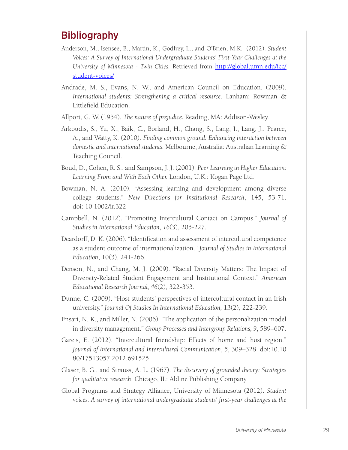### Bibliography

- Anderson, M., Isensee, B., Martin, K., Godfrey, L., and O'Brien, M.K. (2012). *Student Voices: A Survey of International Undergraduate Students' First-Year Challenges at the University of Minnesota - Twin Cities.* Retrieved from http://global.umn.edu/icc/ student-voices/
- Andrade, M. S., Evans, N. W., and American Council on Education. (2009). *International students: Strengthening a critical resource.* Lanham: Rowman & Littlefield Education.
- Allport, G. W. (1954). *The nature of prejudice.* Reading, MA: Addison-Wesley.
- Arkoudis, S., Yu, X., Baik, C., Borland, H., Chang, S., Lang, I., Lang, J., Pearce, A., and Watty, K. (2010). *Finding common ground: Enhancing interaction between domestic and international students.* Melbourne, Australia: Australian Learning & Teaching Council.
- Boud, D., Cohen, R. S., and Sampson, J. J. (2001). *Peer Learning in Higher Education: Learning From and With Each Other.* London, U.K.: Kogan Page Ltd.
- Bowman, N. A. (2010). "Assessing learning and development among diverse college students." *New Directions for Institutional Research*, 145, 53-71. doi: 10.1002/ir.322
- Campbell, N. (2012). "Promoting Intercultural Contact on Campus." *Journal of Studies in International Education*, *16*(3), 205-227.
- Deardorff, D. K. (2006). "Identification and assessment of intercultural competence as a student outcome of internationalization." *Journal of Studies in International Education*, 10(3), 241-266.
- Denson, N., and Chang, M. J. (2009). "Racial Diversity Matters: The Impact of Diversity-Related Student Engagement and Institutional Context." *American Educational Research Journal, 46*(2), 322-353.
- Dunne, C. (2009). "Host students' perspectives of intercultural contact in an Irish university." *Journal Of Studies In International Education,* 13(2), 222-239.
- Ensari, N. K., and Miller, N. (2006). "The application of the personalization model in diversity management." *Group Processes and Intergroup Relations, 9*, 589–607.
- Gareis, E. (2012). "Intercultural friendship: Effects of home and host region." *Journal of International and Intercultural Communication*, *5*, 309–328. doi:10.10 80/17513057.2012.691525
- Glaser, B. G., and Strauss, A. L. (1967). *The discovery of grounded theory: Strategies for qualitative research*. Chicago, IL: Aldine Publishing Company
- Global Programs and Strategy Alliance, University of Minnesota (2012). *Student*  voices: A survey of international undergraduate students' first-year challenges at the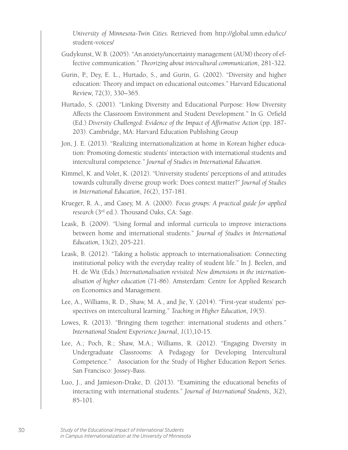*University of Minnesota-Twin Cities.* Retrieved from http://global.umn.edu/icc/ student-voices/

- Gudykunst, W. B. (2005). "An anxiety/uncertainty management (AUM) theory of effective communication." *Theorizing about intercultural communication*, 281-322.
- Gurin, P., Dey, E. L., Hurtado, S., and Gurin, G. (2002). "Diversity and higher education: Theory and impact on educational outcomes." Harvard Educational Review, 72(3), 330–365.
- Hurtado, S. (2001). "Linking Diversity and Educational Purpose: How Diversity Affects the Classroom Environment and Student Development." In G. Orfield (Ed.) *Diversity Challenged: Evidence of the Impact of Affirmative Action* (pp. 187- 203). Cambridge, MA: Harvard Education Publishing Group
- Jon, J. E. (2013). "Realizing internationalization at home in Korean higher education: Promoting domestic students' interaction with international students and intercultural competence." *Journal of Studies in International Education*.
- Kimmel, K. and Volet, K. (2012). "University students' perceptions of and attitudes towards culturally diverse group work: Does context matter?" *Journal of Studies in International Education*, *16*(2), 157-181.
- Krueger, R. A., and Casey, M. A. (2000). *Focus groups: A practical guide for applied research* (3rd ed.). Thousand Oaks, CA: Sage.
- Leask, B. (2009). "Using formal and informal curricula to improve interactions between home and international students." *Journal of Studies in International Education,* 13(2), 205-221.
- Leask, B. (2012). "Taking a holistic approach to internationalisation: Connecting institutional policy with the everyday reality of student life." In J. Beelen, and H. de Wit (Eds.) *Internationalisation revisited: New dimensions in the internationalisation of higher education* (71-86). Amsterdam: Centre for Applied Research on Economics and Management.
- Lee, A., Williams, R. D., Shaw, M. A., and Jie, Y. (2014). "First-year students' perspectives on intercultural learning." *Teaching in Higher Education, 19*(5).
- Lowes, R. (2013). "Bringing them together: international students and others." *International Student Experience Journal*, *1*(1),10-15.
- Lee, A.; Poch, R.; Shaw, M.A.; Williams, R. (2012). "Engaging Diversity in Undergraduate Classrooms: A Pedagogy for Developing Intercultural Competence." Association for the Study of Higher Education Report Series. San Francisco: Jossey-Bass.
- Luo, J., and Jamieson-Drake, D. (2013). "Examining the educational benefits of interacting with international students." *Journal of International Students*, *3*(2), 85-101.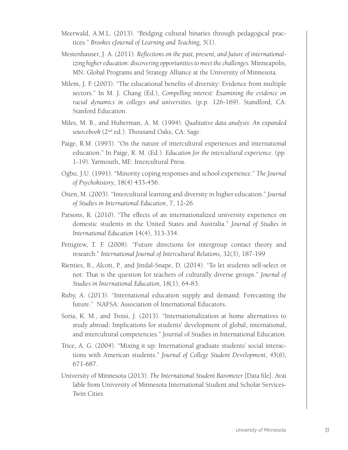- Meerwald, A.M.L. (2013). "Bridging cultural binaries through pedagogical practices." *Brookes eJournal of Learning and Teaching, 5*(1).
- Mestenhauser, J. A. (2011). *Reflections on the past, present, and future of internationalizing higher education: discovering opportunities to meet the challenges.* Minneapolis, MN: Global Programs and Strategy Alliance at the University of Minnesota.
- Milem, J. F. (2003). "The educational benefits of diversity: Evidence from multiple sectors." In M. J. Chang (Ed.), *Compelling interest: Examining the evidence on racial dynamics in colleges and universities.* (p.p. 126-169). Standford, CA: Stanford Education.
- Miles, M. B., and Huberman, A. M. (1994). *Qualitative data analysis: An expanded sourcebook* (2nd ed.). Thousand Oaks, CA: Sage.
- Paige, R.M. (1993). "On the nature of intercultural experiences and international education." In Paige, R. M. (Ed.). *Education for the intercultural experience*. (pp. 1-19). Yarmouth, ME: Intercultural Press.
- Ogbu, J.U. (1991). "Minority coping responses and school experience." *The Journal of Psychohistory*, 18(4) 433-456.
- Otten, M. (2003). "Intercultural learning and diversity in higher education." *Journal of Studies in International Education*, 7, 12-26.
- Parsons, R. (2010). "The effects of an internationalized university experience on domestic students in the United States and Australia." *Journal of Studies in International Education* 14(4), 313-334.
- Pettigrew, T. F. (2008). "Future directions for intergroup contact theory and research." *International Journal of Intercultural Relations,* 32(3), 187-199
- Rienties, B., Alcott, P., and Jindal-Snape, D. (2014). "To let students self-select or not: That is the question for teachers of culturally diverse groups." *Journal of Studies in International Education,* 18(1), 64-83.
- Ruby, A. (2013). "International education supply and demand: Forecasting the future." NAFSA: Association of International Educators.
- Soria, K. M., and Troisi, J. (2013). "Internationalization at home alternatives to study abroad: Implications for students' development of global, international, and intercultural competencies." Journal of Studies in International Education.
- Trice, A. G. (2004). "Mixing it up: International graduate students' social interactions with American students." *Journal of College Student Development*, *45*(6), 671-687.
- University of Minnesota (2013). *The International Student Barometer* [Data file]. Avai lable from University of Minnesota International Student and Scholar Services-Twin Cities.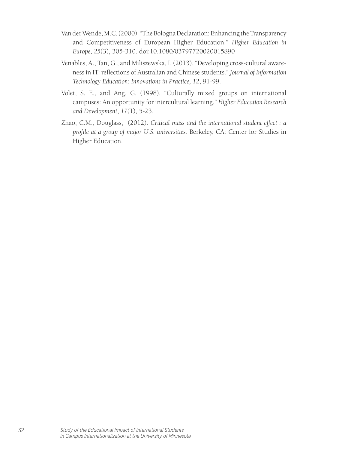- Van der Wende, M.C. (2000). "The Bologna Declaration: Enhancing the Transparency and Competitiveness of European Higher Education." *Higher Education in Europe, 25*(3), 305-310. doi:10.1080/03797720020015890
- Venables, A., Tan, G., and Miliszewska, I. (2013). "Developing cross-cultural awareness in IT: reflections of Australian and Chinese students." *Journal of Information Technology Education: Innovations in Practice, 12*, 91-99.
- Volet, S. E., and Ang, G. (1998). "Culturally mixed groups on international campuses: An opportunity for intercultural learning." *Higher Education Research and Development*, *17*(1), 5-23.
- Zhao, C.M., Douglass, (2012). *Critical mass and the international student effect : a profile at a group of major U.S. universities.* Berkeley, CA: Center for Studies in Higher Education.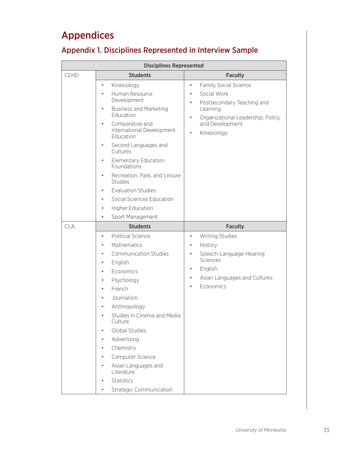# Appendices

### Appendix 1. Disciplines Represented in Interview Sample

|             | <b>Disciplines Represented</b>                                                                                                                                                                                                                                                                                                                                                                                                                                                                          |                                                                                                                                                                                                                                  |
|-------------|---------------------------------------------------------------------------------------------------------------------------------------------------------------------------------------------------------------------------------------------------------------------------------------------------------------------------------------------------------------------------------------------------------------------------------------------------------------------------------------------------------|----------------------------------------------------------------------------------------------------------------------------------------------------------------------------------------------------------------------------------|
| <b>CEHD</b> | <b>Students</b>                                                                                                                                                                                                                                                                                                                                                                                                                                                                                         | <b>Faculty</b>                                                                                                                                                                                                                   |
|             | Kinesiology<br>$\bullet$<br>Human Resource<br>$\bullet$<br>Development<br><b>Business and Marketing</b><br>$\bullet$<br>Education<br>Comparative and<br>$\bullet$<br>International Development<br>Education<br>Second Languages and<br>Cultures<br><b>Elementary Education</b><br>$\bullet$<br>Foundations<br>Recreation, Park, and Leisure<br>٠<br><b>Studies</b><br><b>Evaluation Studies</b><br>$\bullet$<br>Social Sciences Education<br>٠<br><b>Higher Education</b><br>٠<br>Sport Management<br>٠ | <b>Family Social Science</b><br>٠<br>Social Work<br>$\bullet$<br>Postsecondary Teaching and<br>$\bullet$<br>Learning<br>Organizational Leadership, Policy,<br>$\bullet$<br>and Development<br>Kinesiology<br>$\bullet$           |
| <b>CLA</b>  | <b>Students</b><br><b>Political Science</b><br>$\bullet$<br>Mathematics<br>$\bullet$<br><b>Communication Studies</b><br>English<br>٠<br>Economics<br>$\bullet$<br>Psychology<br>٠<br>French<br>Journalism<br>Anthropology<br>Studies in Cinema and Media<br>Culture<br><b>Global Studies</b><br>Advertising<br>٠<br>Chemistry<br>Computer Science<br>Asian Languages and<br>$\bullet$<br>Literature<br>Statistics<br><b>Strategic Communication</b><br>$\bullet$                                        | <b>Faculty</b><br><b>Writing Studies</b><br>$\bullet$<br>History<br>$\bullet$<br>Speech-Language-Hearing<br>$\bullet$<br>Sciences<br>English<br>$\bullet$<br>Asian Languages and Cultures<br>$\bullet$<br>Economics<br>$\bullet$ |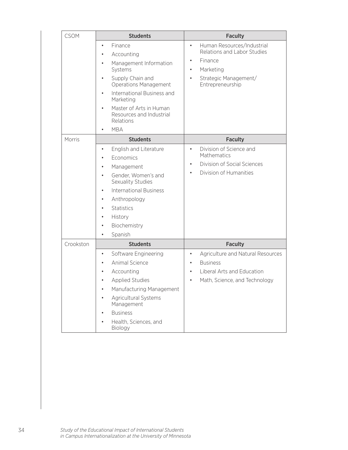| <b>CSOM</b> | <b>Students</b>                                                                                                                                                                                                                                                                                   | <b>Faculty</b>                                                                                                                                                        |
|-------------|---------------------------------------------------------------------------------------------------------------------------------------------------------------------------------------------------------------------------------------------------------------------------------------------------|-----------------------------------------------------------------------------------------------------------------------------------------------------------------------|
|             | Finance<br>٠<br>Accounting<br>Management Information<br>$\bullet$<br>Systems<br>Supply Chain and<br>٠<br><b>Operations Management</b><br>International Business and<br>٠<br>Marketing<br>Master of Arts in Human<br>$\bullet$<br>Resources and Industrial<br>Relations<br><b>MBA</b><br>$\bullet$ | Human Resources/Industrial<br>$\bullet$<br>Relations and Labor Studies<br>Finance<br>$\bullet$<br>Marketing<br>Strategic Management/<br>$\bullet$<br>Entrepreneurship |
| Morris      | <b>Students</b>                                                                                                                                                                                                                                                                                   | <b>Faculty</b>                                                                                                                                                        |
|             | English and Literature<br>٠<br>Economics<br>٠<br>Management<br>Gender, Women's and<br>٠<br>Sexuality Studies<br><b>International Business</b><br>Anthropology<br>٠<br><b>Statistics</b><br>History<br>٠<br>Biochemistry<br>٠<br>Spanish                                                           | Division of Science and<br>$\bullet$<br>Mathematics<br>Division of Social Sciences<br>$\bullet$<br>Division of Humanities<br>$\bullet$                                |
| Crookston   | <b>Students</b>                                                                                                                                                                                                                                                                                   | <b>Faculty</b>                                                                                                                                                        |
|             | Software Engineering<br>$\bullet$<br>Animal Science<br>Accounting<br><b>Applied Studies</b><br>Manufacturing Management<br>Agricultural Systems<br>Management<br><b>Business</b><br>Health, Sciences, and<br>Biology                                                                              | Agriculture and Natural Resources<br>$\bullet$<br><b>Business</b><br>$\bullet$<br>Liberal Arts and Education<br>Math, Science, and Technology<br>$\bullet$            |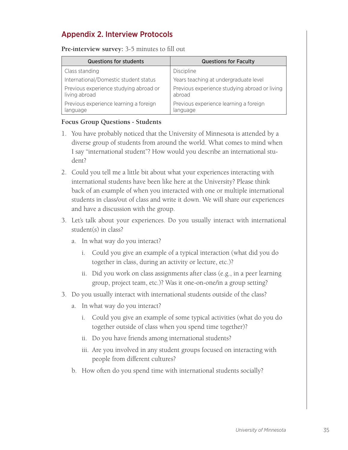### Appendix 2. Interview Protocols

**Pre-interview survey:** 3-5 minutes to fill out

| <b>Questions for students</b>                           | <b>Questions for Faculty</b>                            |
|---------------------------------------------------------|---------------------------------------------------------|
| Class standing                                          | Discipline                                              |
| International/Domestic student status                   | Years teaching at undergraduate level                   |
| Previous experience studying abroad or<br>living abroad | Previous experience studying abroad or living<br>abroad |
| Previous experience learning a foreign<br>language      | Previous experience learning a foreign<br>language      |

#### **Focus Group Questions - Students**

- 1. You have probably noticed that the University of Minnesota is attended by a diverse group of students from around the world. What comes to mind when I say "international student"? How would you describe an international student?
- 2. Could you tell me a little bit about what your experiences interacting with international students have been like here at the University? Please think back of an example of when you interacted with one or multiple international students in class/out of class and write it down. We will share our experiences and have a discussion with the group.
- 3. Let's talk about your experiences. Do you usually interact with international student(s) in class?
	- a. In what way do you interact?
		- i. Could you give an example of a typical interaction (what did you do together in class, during an activity or lecture, etc.)?
		- ii. Did you work on class assignments after class (e.g., in a peer learning group, project team, etc.)? Was it one-on-one/in a group setting?
- 3. Do you usually interact with international students outside of the class?
	- a. In what way do you interact?
		- i. Could you give an example of some typical activities (what do you do together outside of class when you spend time together)?
		- ii. Do you have friends among international students?
		- iii. Are you involved in any student groups focused on interacting with people from different cultures?
	- b. How often do you spend time with international students socially?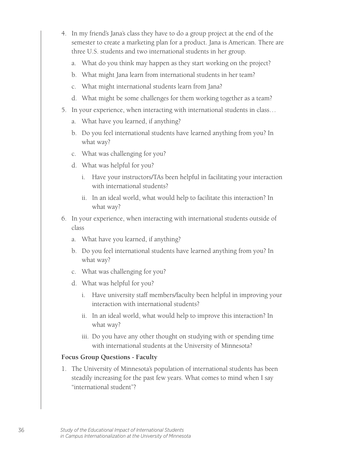- 4. In my friend's Jana's class they have to do a group project at the end of the semester to create a marketing plan for a product. Jana is American. There are three U.S. students and two international students in her group.
	- a. What do you think may happen as they start working on the project?
	- b. What might Jana learn from international students in her team?
	- c. What might international students learn from Jana?
	- d. What might be some challenges for them working together as a team?
- 5. In your experience, when interacting with international students in class…
	- a. What have you learned, if anything?
	- b. Do you feel international students have learned anything from you? In what way?
	- c. What was challenging for you?
	- d. What was helpful for you?
		- i. Have your instructors/TAs been helpful in facilitating your interaction with international students?
		- ii. In an ideal world, what would help to facilitate this interaction? In what way?
- 6. In your experience, when interacting with international students outside of class
	- a. What have you learned, if anything?
	- b. Do you feel international students have learned anything from you? In what way?
	- c. What was challenging for you?
	- d. What was helpful for you?
		- i. Have university staff members/faculty been helpful in improving your interaction with international students?
		- ii. In an ideal world, what would help to improve this interaction? In what way?
		- iii. Do you have any other thought on studying with or spending time with international students at the University of Minnesota?

#### **Focus Group Questions - Faculty**

1. The University of Minnesota's population of international students has been steadily increasing for the past few years. What comes to mind when I say "international student"?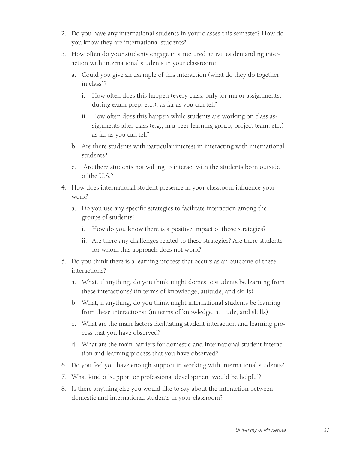- 2. Do you have any international students in your classes this semester? How do you know they are international students?
- 3. How often do your students engage in structured activities demanding interaction with international students in your classroom?
	- a. Could you give an example of this interaction (what do they do together in class)?
		- i. How often does this happen (every class, only for major assignments, during exam prep, etc.), as far as you can tell?
		- ii. How often does this happen while students are working on class assignments after class (e.g., in a peer learning group, project team, etc.) as far as you can tell?
	- b. Are there students with particular interest in interacting with international students?
	- c. Are there students not willing to interact with the students born outside of the U.S.?
- 4. How does international student presence in your classroom influence your work?
	- a. Do you use any specific strategies to facilitate interaction among the groups of students?
		- i. How do you know there is a positive impact of those strategies?
		- ii. Are there any challenges related to these strategies? Are there students for whom this approach does not work?
- 5. Do you think there is a learning process that occurs as an outcome of these interactions?
	- a. What, if anything, do you think might domestic students be learning from these interactions? (in terms of knowledge, attitude, and skills)
	- b. What, if anything, do you think might international students be learning from these interactions? (in terms of knowledge, attitude, and skills)
	- c. What are the main factors facilitating student interaction and learning process that you have observed?
	- d. What are the main barriers for domestic and international student interaction and learning process that you have observed?
- 6. Do you feel you have enough support in working with international students?
- 7. What kind of support or professional development would be helpful?
- 8. Is there anything else you would like to say about the interaction between domestic and international students in your classroom?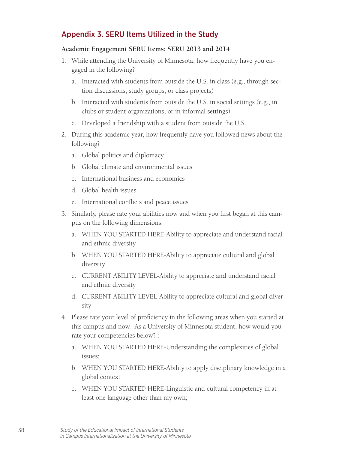### Appendix 3. SERU Items Utilized in the Study

#### **Academic Engagement SERU Items: SERU 2013 and 2014**

- 1. While attending the University of Minnesota, how frequently have you engaged in the following?
	- a. Interacted with students from outside the U.S. in class (e.g., through section discussions, study groups, or class projects)
	- b. Interacted with students from outside the U.S. in social settings (e.g., in clubs or student organizations, or in informal settings)
	- c. Developed a friendship with a student from outside the U.S.
- 2. During this academic year, how frequently have you followed news about the following?
	- a. Global politics and diplomacy
	- b. Global climate and environmental issues
	- c. International business and economics
	- d. Global health issues
	- e. International conflicts and peace issues
- 3. Similarly, please rate your abilities now and when you first began at this campus on the following dimensions:
	- a. WHEN YOU STARTED HERE-Ability to appreciate and understand racial and ethnic diversity
	- b. WHEN YOU STARTED HERE-Ability to appreciate cultural and global diversity
	- c. CURRENT ABILITY LEVEL-Ability to appreciate and understand racial and ethnic diversity
	- d. CURRENT ABILITY LEVEL-Ability to appreciate cultural and global diversity
- 4. Please rate your level of proficiency in the following areas when you started at this campus and now. As a University of Minnesota student, how would you rate your competencies below? :
	- a. WHEN YOU STARTED HERE-Understanding the complexities of global issues;
	- b. WHEN YOU STARTED HERE-Ability to apply disciplinary knowledge in a global context
	- c. WHEN YOU STARTED HERE-Linguistic and cultural competency in at least one language other than my own;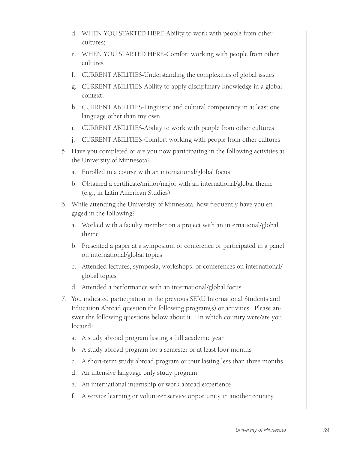- d. WHEN YOU STARTED HERE-Ability to work with people from other cultures;
- e. WHEN YOU STARTED HERE-Comfort working with people from other cultures
- f. CURRENT ABILITIES-Understanding the complexities of global issues
- g. CURRENT ABILITIES-Ability to apply disciplinary knowledge in a global context;
- h. CURRENT ABILITIES-Linguistic and cultural competency in at least one language other than my own
- i. CURRENT ABILITIES-Ability to work with people from other cultures
- j. CURRENT ABILITIES-Comfort working with people from other cultures
- 5. Have you completed or are you now participating in the following activities at the University of Minnesota?
	- a. Enrolled in a course with an international/global focus
	- b. Obtained a certificate/minor/major with an international/global theme (e.g., in Latin American Studies)
- 6. While attending the University of Minnesota, how frequently have you engaged in the following?
	- a. Worked with a faculty member on a project with an international/global theme
	- b. Presented a paper at a symposium or conference or participated in a panel on international/global topics
	- c. Attended lectures, symposia, workshops, or conferences on international/ global topics
	- d. Attended a performance with an international/global focus
- 7. You indicated participation in the previous SERU International Students and Education Abroad question the following program(s) or activities. Please answer the following questions below about it. : In which country were/are you located?
	- a. A study abroad program lasting a full academic year
	- b. A study abroad program for a semester or at least four months
	- c. A short-term study abroad program or tour lasting less than three months
	- d. An intensive language only study program
	- e. An international internship or work abroad experience
	- f. A service learning or volunteer service opportunity in another country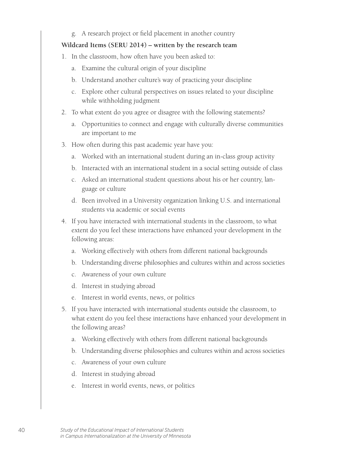g. A research project or field placement in another country

#### **Wildcard Items (SERU 2014) – written by the research team**

- 1. In the classroom, how often have you been asked to:
	- a. Examine the cultural origin of your discipline
	- b. Understand another culture's way of practicing your discipline
	- c. Explore other cultural perspectives on issues related to your discipline while withholding judgment
- 2. To what extent do you agree or disagree with the following statements?
	- a. Opportunities to connect and engage with culturally diverse communities are important to me
- 3. How often during this past academic year have you:
	- a. Worked with an international student during an in-class group activity
	- b. Interacted with an international student in a social setting outside of class
	- c. Asked an international student questions about his or her country, language or culture
	- d. Been involved in a University organization linking U.S. and international students via academic or social events
- 4. If you have interacted with international students in the classroom, to what extent do you feel these interactions have enhanced your development in the following areas:
	- a. Working effectively with others from different national backgrounds
	- b. Understanding diverse philosophies and cultures within and across societies
	- c. Awareness of your own culture
	- d. Interest in studying abroad
	- e. Interest in world events, news, or politics
- 5. If you have interacted with international students outside the classroom, to what extent do you feel these interactions have enhanced your development in the following areas?
	- a. Working effectively with others from different national backgrounds
	- b. Understanding diverse philosophies and cultures within and across societies
	- c. Awareness of your own culture
	- d. Interest in studying abroad
	- e. Interest in world events, news, or politics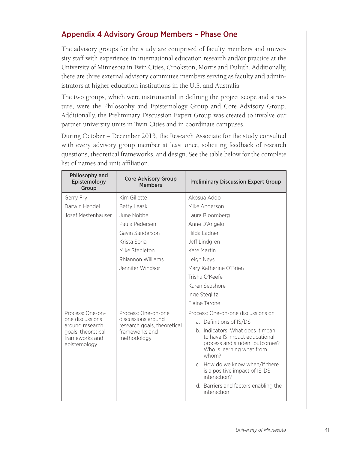### Appendix 4 Advisory Group Members – Phase One

The advisory groups for the study are comprised of faculty members and university staff with experience in international education research and/or practice at the University of Minnesota in Twin Cities, Crookston, Morris and Duluth. Additionally, there are three external advisory committee members serving as faculty and administrators at higher education institutions in the U.S. and Australia.

The two groups, which were instrumental in defining the project scope and structure, were the Philosophy and Epistemology Group and Core Advisory Group. Additionally, the Preliminary Discussion Expert Group was created to involve our partner university units in Twin Cities and in coordinate campuses.

During October – December 2013, the Research Associate for the study consulted with every advisory group member at least once, soliciting feedback of research questions, theoretical frameworks, and design. See the table below for the complete list of names and unit affiliation.

| Philosophy and<br>Epistemology<br>Group              | <b>Core Advisory Group</b><br><b>Members</b>      | <b>Preliminary Discussion Expert Group</b>                                                                                               |
|------------------------------------------------------|---------------------------------------------------|------------------------------------------------------------------------------------------------------------------------------------------|
| Gerry Fry                                            | Kim Gillette                                      | Akosua Addo                                                                                                                              |
| Darwin Hendel                                        | <b>Betty Leask</b>                                | Mike Anderson                                                                                                                            |
| Josef Mestenhauser                                   | June Nobbe                                        | Laura Bloomberg                                                                                                                          |
|                                                      | Paula Pedersen                                    | Anne D'Angelo                                                                                                                            |
|                                                      | Gavin Sanderson                                   | Hilda Ladner                                                                                                                             |
|                                                      | Krista Soria                                      | Jeff Lindgren                                                                                                                            |
|                                                      | Mike Stebleton                                    | Kate Martin                                                                                                                              |
|                                                      | Rhiannon Williams                                 | Leigh Neys                                                                                                                               |
|                                                      | Jennifer Windsor                                  | Mary Katherine O'Brien                                                                                                                   |
|                                                      |                                                   | Trisha O'Keefe                                                                                                                           |
|                                                      |                                                   | Karen Seashore                                                                                                                           |
|                                                      |                                                   | Inge Steglitz                                                                                                                            |
|                                                      |                                                   | Elaine Tarone                                                                                                                            |
| Process: One-on-                                     | Process: One-on-one                               | Process: One-on-one discussions on                                                                                                       |
| one discussions<br>around research                   | discussions around<br>research goals, theoretical | a. Definitions of IS/DS                                                                                                                  |
| goals, theoretical<br>frameworks and<br>epistemology | frameworks and<br>methodology                     | b. Indicators: What does it mean<br>to have IS impact educational<br>process and student outcomes?<br>Who is learning what from<br>whom? |
|                                                      |                                                   | c. How do we know when/if there<br>is a positive impact of IS-DS<br>interaction?                                                         |
|                                                      |                                                   | d. Barriers and factors enabling the<br>interaction                                                                                      |